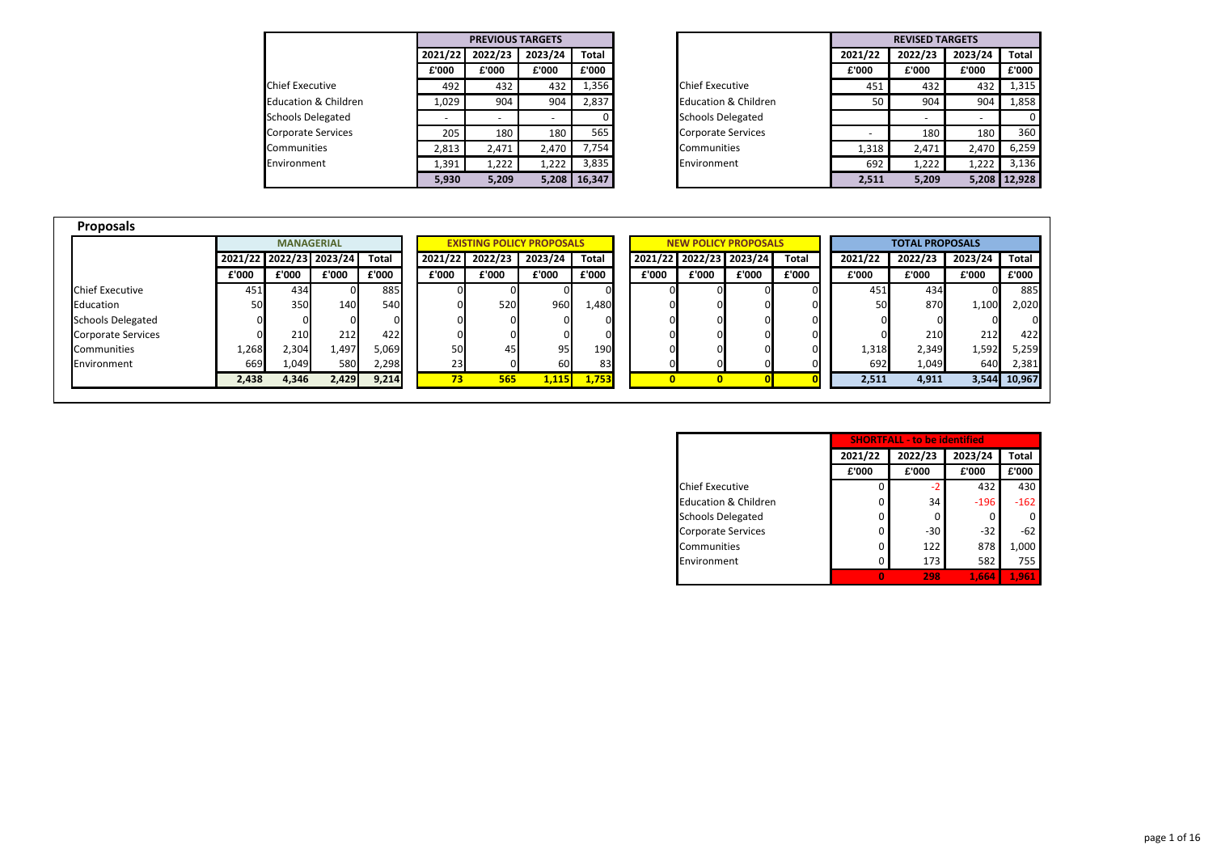|                                 |         | <b>PREVIOUS TARGETS</b> |         |              |
|---------------------------------|---------|-------------------------|---------|--------------|
|                                 | 2021/22 | 2022/23                 | 2023/24 | <b>Total</b> |
|                                 | £'000   | £'000                   | £'000   | £'000        |
| <b>Chief Executive</b>          | 492     | 432                     | 432     | 1,356        |
| <b>Education &amp; Children</b> | 1,029   | 904                     | 904     | 2,837        |
| <b>Schools Delegated</b>        |         |                         |         |              |
| <b>Corporate Services</b>       | 205     | 180                     | 180     | 565          |
| Communities                     | 2,813   | 2,471                   | 2,470   | 7,754        |
| Environment                     | 1,391   | 1,222                   | 1,222   | 3,835        |
|                                 | 5,930   | 5,209                   | 5,208   | 16,347       |

|                                 |         | <b>PREVIOUS TARGETS</b>  |         |              |
|---------------------------------|---------|--------------------------|---------|--------------|
|                                 | 2021/22 | 2022/23                  | 2023/24 | Total        |
|                                 | £'000   | £'000                    | £'000   | £'000        |
| <b>Chief Executive</b>          | 492     | 432                      | 432     | 1,356        |
| <b>Education &amp; Children</b> | 1,029   | 904                      | 904     | 2,837        |
| Schools Delegated               |         | $\overline{\phantom{0}}$ |         |              |
| Corporate Services              | 205     | 180                      | 180     | 565          |
| Communities                     | 2,813   | 2,471                    | 2,470   | 7,754        |
| Environment                     | 1,391   | 1,222                    | 1,222   | 3,835        |
|                                 | 5,930   | 5,209                    |         | 5,208 16,347 |

| <b>Proposals</b>          |       |                   |                         |              |         |         |                                  |              |              |                             |                   |              |         |                        |         |              |  |
|---------------------------|-------|-------------------|-------------------------|--------------|---------|---------|----------------------------------|--------------|--------------|-----------------------------|-------------------|--------------|---------|------------------------|---------|--------------|--|
|                           |       | <b>MANAGERIAL</b> |                         |              |         |         | <b>EXISTING POLICY PROPOSALS</b> |              |              | <b>NEW POLICY PROPOSALS</b> |                   |              |         | <b>TOTAL PROPOSALS</b> |         |              |  |
|                           |       |                   | 2021/22 2022/23 2023/24 | Total        | 2021/22 | 2022/23 | 2023/24                          | <b>Total</b> | 2021/22      |                             | $2022/23$ 2023/24 | <b>Total</b> | 2021/22 | 2022/23                | 2023/24 | <b>Total</b> |  |
|                           | £'000 | £'000             | £'000                   | £'000        | £'000   | £'000   | £'000                            | £'000        | £'000        | £'000                       | £'000             | £'000        | £'000   | £'000                  | £'000   | £'000        |  |
| <b>Chief Executive</b>    | 451   | 434               |                         | 885          |         |         |                                  | 01           |              |                             |                   |              | 451     | 434                    |         | 885          |  |
| Education                 | 50I   | 350               | 140                     | 540          |         | 520     | 960                              | 1,480        | ΟI           |                             |                   |              | 50      | 870                    | 1,100   | 2,020        |  |
| <b>Schools Delegated</b>  |       | $\Omega$          |                         | $\mathbf{0}$ |         |         |                                  | 01           |              |                             |                   |              |         |                        |         |              |  |
| <b>Corporate Services</b> |       | 210               | 212                     | 422          |         |         |                                  | 01           |              |                             |                   |              |         | 210                    | 212     | 422          |  |
| <b>Communities</b>        | 1,268 | 2,304             | 1,497                   | 5,069        | 50      | 45      | 95                               | 190          |              |                             |                   |              | 1,318   | 2,349                  | 1,592   | 5,259        |  |
| Environment               | 669   | 1,049             | 580                     | 2,298        | 23      |         | 60                               | 83           |              |                             |                   |              | 692     | 1,049                  | 640     | 2,381        |  |
|                           | 2,438 | 4,346             | 2,429                   | 9,214        | 73      | 565     | <u>1,115 </u>                    | 1,753        | $\mathbf{0}$ |                             |                   |              | 2,511   | 4,911                  | 3,544   | 10,967       |  |

|                                 |         | <b>SHORTFALL - to be identified</b> |         |        |
|---------------------------------|---------|-------------------------------------|---------|--------|
|                                 | 2021/22 | 2022/23                             | 2023/24 | Total  |
|                                 | £'000   | £'000                               | £'000   | £'000  |
| <b>Chief Executive</b>          |         | $-2$                                | 432     | 430    |
| <b>Education &amp; Children</b> | 0       | 34                                  | $-196$  | $-162$ |
| <b>Schools Delegated</b>        | ŋ       | 0                                   | 0       |        |
| <b>Corporate Services</b>       | 0       | $-30$                               | $-32$   | $-62$  |
| Communities                     | 0       | 122                                 | 878     | 1,000  |
| Environment                     |         | 173                                 | 582     | 755    |
|                                 |         | 298                                 | 1,664   | 1,961  |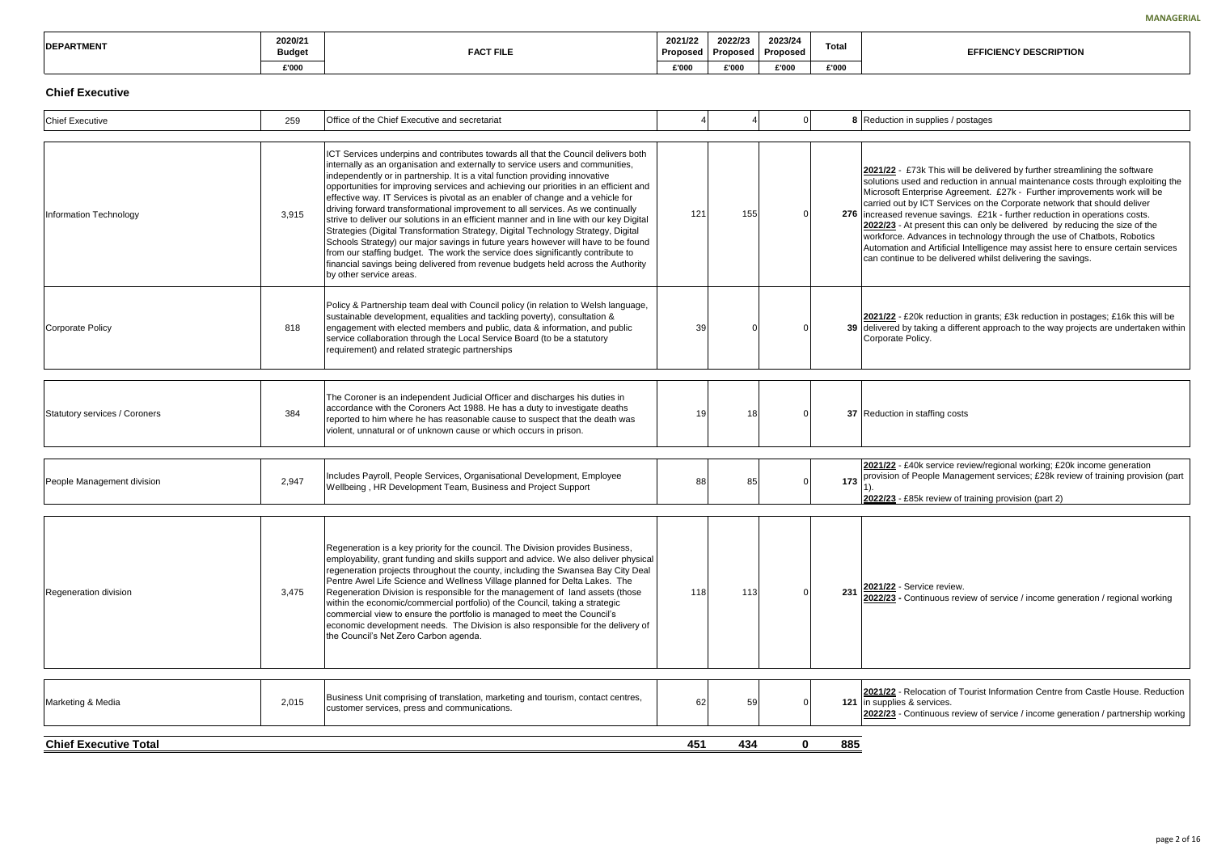73k This will be delivered by further streamlining the software ed and reduction in annual maintenance costs through exploiting the nterprise Agreement. £27k - Further improvements work will be y ICT Services on the Corporate network that should deliver venue savings. £21k - further reduction in operations costs. **2** present this can only be delivered by reducing the size of the dvances in technology through the use of Chatbots, Robotics and Artificial Intelligence may assist here to ensure certain services to be delivered whilst delivering the savings.

20k reduction in grants; £3k reduction in postages; £16k this will be taking a different approach to the way projects are undertaken within olicy.

**2021** Service review/regional working; £20k income generation People Management services; £28k review of training provision (part

**25k review of training provision (part 2)** 

| <b>IDEPARTMENT</b> | 2020/21<br><b>Budget</b> | <b>FACT FILE</b> | 2021/22<br>Proposed | 2022/23<br>Proposed | 2023/24<br>Proposed | Total |
|--------------------|--------------------------|------------------|---------------------|---------------------|---------------------|-------|
|                    | £'000                    |                  | £'000               | £'000               | £'000               | £'000 |

# **Chief Executive**

**2** Plocation of Tourist Information Centre from Castle House. Reduction **k** services. **2022/23** - Continuous review of service / income generation / partnership working

<sup>118</sup> <sup>113</sup> <sup>0</sup> **<sup>231</sup> 2021/22** - Service review. **2022/23 -** Continuous review of service / income generation / regional working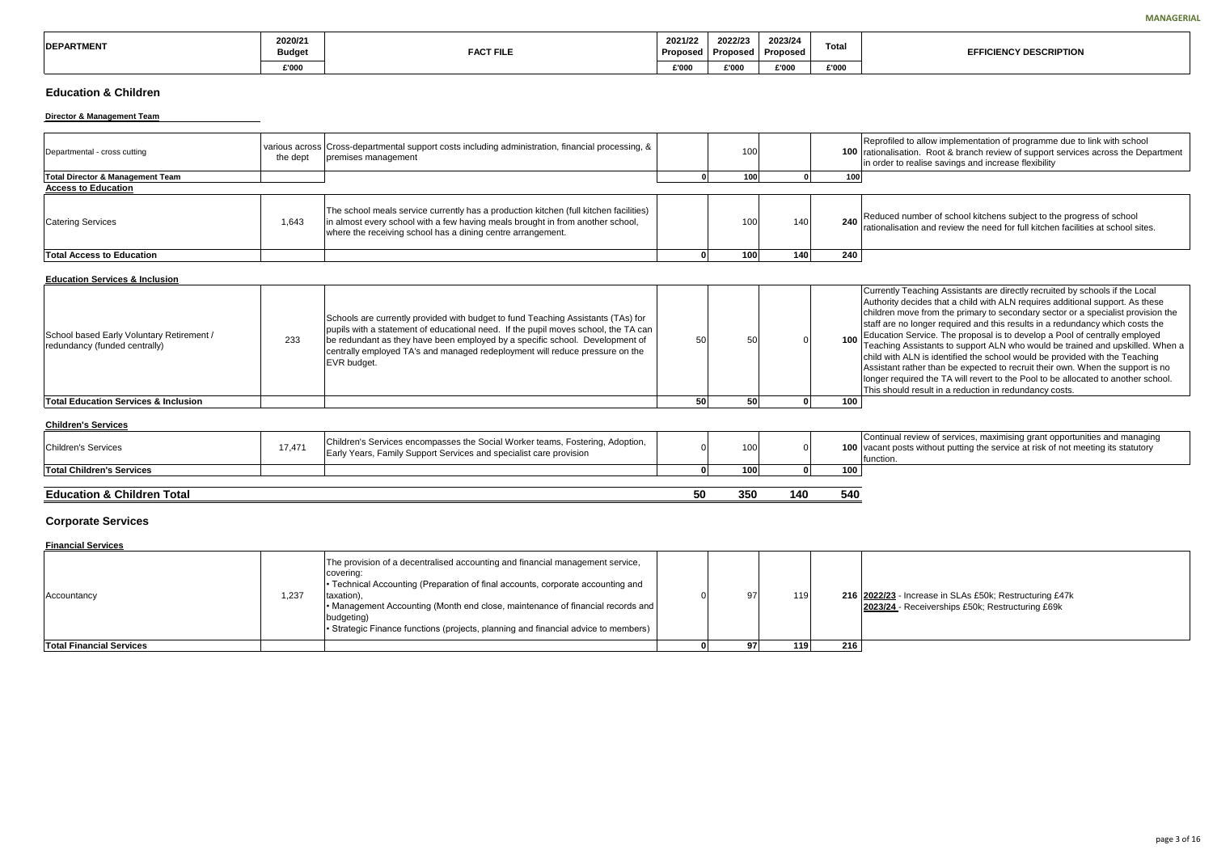allow implementation of programme due to link with school on. Root & branch review of support services across the Department alise savings and increase flexibility

mber of school kitchens subject to the progress of school on and review the need for full kitchen facilities at school sites.

aching Assistants are directly recruited by schools if the Local ides that a child with ALN requires additional support. As these e from the primary to secondary sector or a specialist provision the onger required and this results in a redundancy which costs the ervice. The proposal is to develop a Pool of centrally employed sistants to support ALN who would be trained and upskilled. When a N is identified the school would be provided with the Teaching er than be expected to recruit their own. When the support is no ed the TA will revert to the Pool to be allocated to another school. esult in a reduction in redundancy costs.

riew of services, maximising grant opportunities and managing without putting the service at risk of not meeting its statutory

| <b>IDEPARTMENT</b> | 2020/21<br><b>Budget</b> | <b>FACT FILE</b> | 2021/22<br>Proposed | 2022/23<br>Proposed | 2023/24<br>Proposed | <b>Total</b> |
|--------------------|--------------------------|------------------|---------------------|---------------------|---------------------|--------------|
|                    | £'000                    |                  | £'000               | £'000               | £'000               | £'000        |

# **Education & Children**

#### **Director & Management Team**

| Departmental - cross cutting                | the dept | various across   Cross-departmental support costs including administration, financial processing, &<br>premises management                                                                                                             | 100             |     |     | Reprofiled to<br>100 rationalisation<br>lin order to rea |
|---------------------------------------------|----------|----------------------------------------------------------------------------------------------------------------------------------------------------------------------------------------------------------------------------------------|-----------------|-----|-----|----------------------------------------------------------|
| <b>Total Director &amp; Management Team</b> |          |                                                                                                                                                                                                                                        | 100             |     | 100 |                                                          |
| <b>Access to Education</b>                  |          |                                                                                                                                                                                                                                        |                 |     |     |                                                          |
| <b>Catering Services</b>                    | 1,643    | The school meals service currently has a production kitchen (full kitchen facilities)<br>in almost every school with a few having meals brought in from another school,<br>where the receiving school has a dining centre arrangement. | 10 <sup>C</sup> | 140 | 240 | Reduced nun<br>Irationalisatior                          |
| <b>Total Access to Education</b>            |          |                                                                                                                                                                                                                                        | 100             | 140 | 240 |                                                          |

#### **Education Services & Inclusion**

| <b>Total Education Services &amp; Inclusion</b>                                                                                                                                                                                                                                                                                                                                                                                            | 50 | 50 | 100 l |                                                                                                                                                                            |
|--------------------------------------------------------------------------------------------------------------------------------------------------------------------------------------------------------------------------------------------------------------------------------------------------------------------------------------------------------------------------------------------------------------------------------------------|----|----|-------|----------------------------------------------------------------------------------------------------------------------------------------------------------------------------|
| Schools are currently provided with budget to fund Teaching Assistants (TAs) for<br>pupils with a statement of educational need. If the pupil moves school, the TA can<br>School based Early Voluntary Retirement /<br>233<br>be redundant as they have been employed by a specific school. Development of<br>redundancy (funded centrally)<br>centrally employed TA's and managed redeployment will reduce pressure on the<br>EVR budget. | 50 | 50 |       | Currently Tea<br>Authority deci<br>Ichildren move<br>Istaff are no lo<br>100 Education Set<br><b>Ichild with ALN</b><br>Assistant rath<br>longer require<br>This should re |

#### **Children's Services**

| <b>Education &amp; Children Total</b> |        |                                                                                                                                                     | 50 | 350              | 140 | 540              |                                                         |
|---------------------------------------|--------|-----------------------------------------------------------------------------------------------------------------------------------------------------|----|------------------|-----|------------------|---------------------------------------------------------|
| <b>Total Children's Services</b>      |        |                                                                                                                                                     |    | 100              |     | 100 <sub>1</sub> |                                                         |
| Children's Services                   | 17,471 | Children's Services encompasses the Social Worker teams, Fostering, Adoption,<br>Early Years, Family Support Services and specialist care provision |    | 100 <sup>1</sup> |     |                  | <b>IContinual revi</b><br>100 vacant posts<br>function. |

# **Corporate Services**

#### **Financial Services**

| Accountancy                     | 1,237 | The provision of a decentralised accounting and financial management service,<br>covering:<br>Fechnical Accounting (Preparation of final accounts, corporate accounting and<br>taxation),<br>• Management Accounting (Month end close, maintenance of financial records and  <br>budgeting)<br>• Strategic Finance functions (projects, planning and financial advice to members) | 97 | 119 |     | 216 2022/23 - Inc<br>2023/24 - Re |
|---------------------------------|-------|-----------------------------------------------------------------------------------------------------------------------------------------------------------------------------------------------------------------------------------------------------------------------------------------------------------------------------------------------------------------------------------|----|-----|-----|-----------------------------------|
| <b>Total Financial Services</b> |       |                                                                                                                                                                                                                                                                                                                                                                                   | 97 | 119 | 216 |                                   |

0 97 119 **216 2022/23** - Increase in SLAs £50k; Restructuring £47k **2023/24** - Receiverships £50k; Restructuring £69k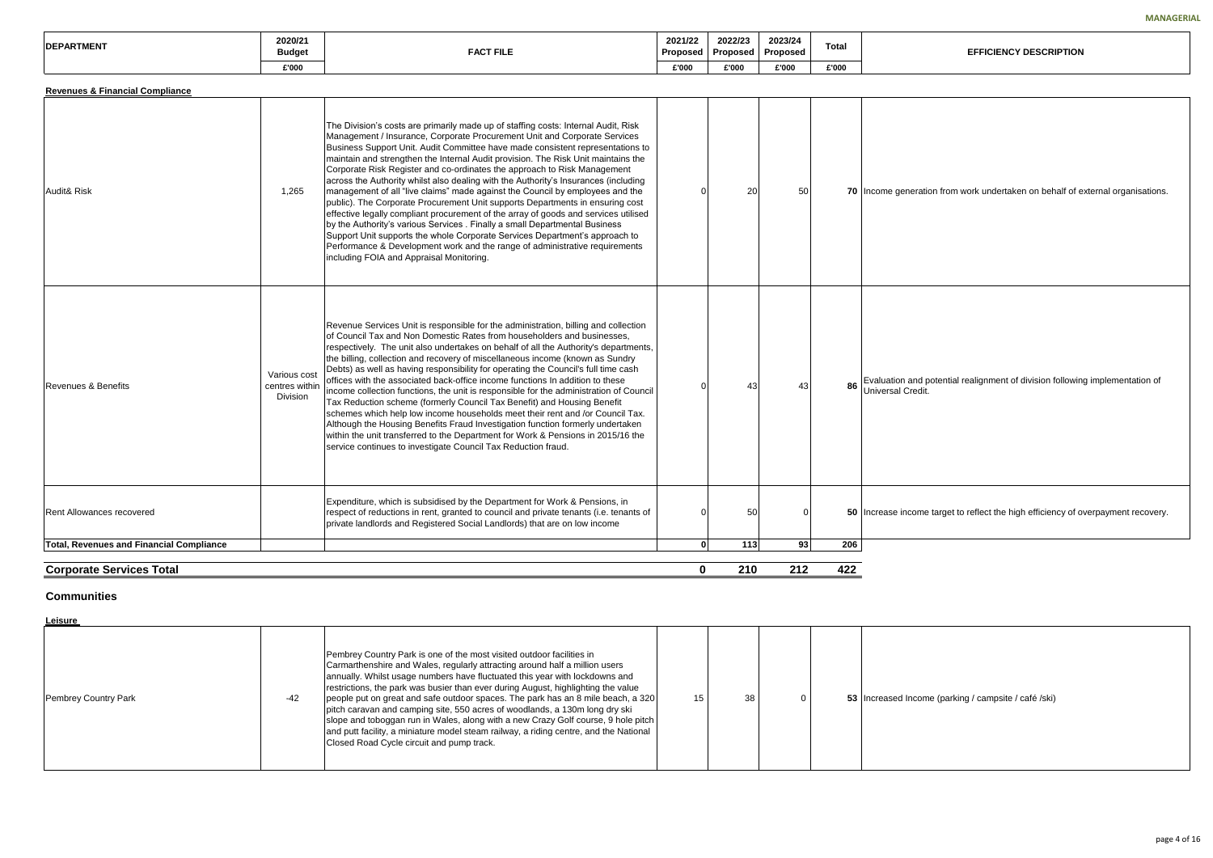ration from work undertaken on behalf of external organisations.

nd potential realignment of division following implementation of edit.

ome target to reflect the high efficiency of overpayment recovery.

| -------<br><b>IDEPAR</b><br>' MEN | 2020/21<br>Budget | <b>FACT FILE</b> | 2021/22<br>Proposed | 2022/23<br>Proposed | 2023/24<br>Proposed | <b>Total</b> |
|-----------------------------------|-------------------|------------------|---------------------|---------------------|---------------------|--------------|
|                                   | £'000             |                  | £'000               | 000'3               | £'000               | £'000        |

| <b>Revenues &amp; Financial Compliance</b>      |                                                   |                                                                                                                                                                                                                                                                                                                                                                                                                                                                                                                                                                                                                                                                                                                                                                                                                                                                                                                                                                                                                                                             |              |                 |          |     |                                       |
|-------------------------------------------------|---------------------------------------------------|-------------------------------------------------------------------------------------------------------------------------------------------------------------------------------------------------------------------------------------------------------------------------------------------------------------------------------------------------------------------------------------------------------------------------------------------------------------------------------------------------------------------------------------------------------------------------------------------------------------------------------------------------------------------------------------------------------------------------------------------------------------------------------------------------------------------------------------------------------------------------------------------------------------------------------------------------------------------------------------------------------------------------------------------------------------|--------------|-----------------|----------|-----|---------------------------------------|
| Audit& Risk                                     | 1,265                                             | The Division's costs are primarily made up of staffing costs: Internal Audit, Risk<br>Management / Insurance, Corporate Procurement Unit and Corporate Services<br>Business Support Unit. Audit Committee have made consistent representations to<br>maintain and strengthen the Internal Audit provision. The Risk Unit maintains the<br>Corporate Risk Register and co-ordinates the approach to Risk Management<br>across the Authority whilst also dealing with the Authority's Insurances (including<br>management of all "live claims" made against the Council by employees and the<br>public). The Corporate Procurement Unit supports Departments in ensuring cost<br>effective legally compliant procurement of the array of goods and services utilised<br>by the Authority's various Services . Finally a small Departmental Business<br>Support Unit supports the whole Corporate Services Department's approach to<br>Performance & Development work and the range of administrative requirements<br>including FOIA and Appraisal Monitoring. | O            | 20              | 50       |     | 70 Income gener                       |
| Revenues & Benefits                             | Various cost<br>centres within<br><b>Division</b> | Revenue Services Unit is responsible for the administration, billing and collection<br>of Council Tax and Non Domestic Rates from householders and businesses,<br>respectively. The unit also undertakes on behalf of all the Authority's departments,<br>the billing, collection and recovery of miscellaneous income (known as Sundry<br>Debts) as well as having responsibility for operating the Council's full time cash<br>offices with the associated back-office income functions In addition to these<br>income collection functions, the unit is responsible for the administration of Council<br>Tax Reduction scheme (formerly Council Tax Benefit) and Housing Benefit<br>schemes which help low income households meet their rent and /or Council Tax.<br>Although the Housing Benefits Fraud Investigation function formerly undertaken<br>within the unit transferred to the Department for Work & Pensions in 2015/16 the<br>service continues to investigate Council Tax Reduction fraud.                                                 | U            | 43              | 43       | 86  | Evaluation an<br><b>Universal Cre</b> |
| <b>Rent Allowances recovered</b>                |                                                   | Expenditure, which is subsidised by the Department for Work & Pensions, in<br>respect of reductions in rent, granted to council and private tenants (i.e. tenants of<br>private landlords and Registered Social Landlords) that are on low income                                                                                                                                                                                                                                                                                                                                                                                                                                                                                                                                                                                                                                                                                                                                                                                                           | 0            | 50 <sub>1</sub> | $\Omega$ |     | 50 Increase incor                     |
| <b>Total, Revenues and Financial Compliance</b> |                                                   |                                                                                                                                                                                                                                                                                                                                                                                                                                                                                                                                                                                                                                                                                                                                                                                                                                                                                                                                                                                                                                                             | $\mathbf{0}$ | 113             | 93       | 206 |                                       |
| <b>Corporate Services Total</b>                 |                                                   |                                                                                                                                                                                                                                                                                                                                                                                                                                                                                                                                                                                                                                                                                                                                                                                                                                                                                                                                                                                                                                                             | 0            | 210             | 212      | 422 |                                       |

# **Communities**

### **Leisure**

| Pembrey Country Park | $-42$ | Pembrey Country Park is one of the most visited outdoor facilities in<br>Carmarthenshire and Wales, regularly attracting around half a million users<br>annually. Whilst usage numbers have fluctuated this year with lockdowns and<br>restrictions, the park was busier than ever during August, highlighting the value<br>people put on great and safe outdoor spaces. The park has an 8 mile beach, a 320<br>pitch caravan and camping site, 550 acres of woodlands, a 130m long dry ski<br>slope and toboggan run in Wales, along with a new Crazy Golf course, 9 hole pitch<br>and putt facility, a miniature model steam railway, a riding centre, and the National<br>Closed Road Cycle circuit and pump track. | 15 | 38 |  |  | 53 Increased Inco |
|----------------------|-------|------------------------------------------------------------------------------------------------------------------------------------------------------------------------------------------------------------------------------------------------------------------------------------------------------------------------------------------------------------------------------------------------------------------------------------------------------------------------------------------------------------------------------------------------------------------------------------------------------------------------------------------------------------------------------------------------------------------------|----|----|--|--|-------------------|
|----------------------|-------|------------------------------------------------------------------------------------------------------------------------------------------------------------------------------------------------------------------------------------------------------------------------------------------------------------------------------------------------------------------------------------------------------------------------------------------------------------------------------------------------------------------------------------------------------------------------------------------------------------------------------------------------------------------------------------------------------------------------|----|----|--|--|-------------------|

15 38 0 **53** Increased Income (parking / campsite / café /ski)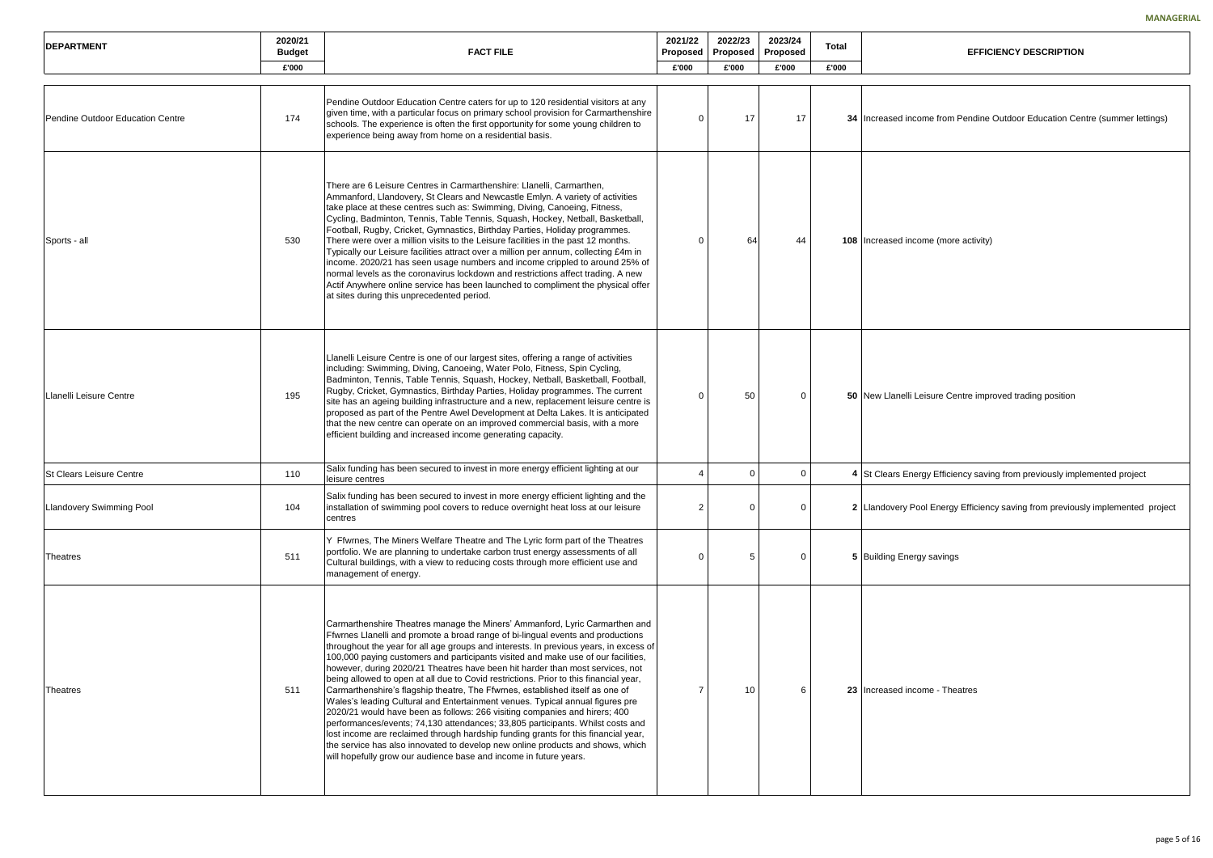# **EFFICIENCY DESCRIPTION come from Pendine Outdoor Education Centre (summer lettings)** come (more activity) Leisure Centre improved trading position

lergy Efficiency saving from previously implemented project

# Pool Energy Efficiency saving from previously implemented project

 $_{\rm {ergy}}$  savings

come - Theatres

| <b>IDEPARTMENT</b>               | 2020/21<br><b>FACT FILE</b><br><b>Budget</b> |                                                                                                                                                                                                                                                                                                                                                                                                                                                                                                                                                                                                                                                                                                                                                                                                                                                                                                                                                                                                                                                                                                       |                | 2023/24<br>2022/23<br>Proposed<br><b>Proposed</b><br>Proposed |          | Total |                         |
|----------------------------------|----------------------------------------------|-------------------------------------------------------------------------------------------------------------------------------------------------------------------------------------------------------------------------------------------------------------------------------------------------------------------------------------------------------------------------------------------------------------------------------------------------------------------------------------------------------------------------------------------------------------------------------------------------------------------------------------------------------------------------------------------------------------------------------------------------------------------------------------------------------------------------------------------------------------------------------------------------------------------------------------------------------------------------------------------------------------------------------------------------------------------------------------------------------|----------------|---------------------------------------------------------------|----------|-------|-------------------------|
|                                  | £'000                                        |                                                                                                                                                                                                                                                                                                                                                                                                                                                                                                                                                                                                                                                                                                                                                                                                                                                                                                                                                                                                                                                                                                       | £'000          | £'000                                                         | £'000    | £'000 |                         |
|                                  |                                              |                                                                                                                                                                                                                                                                                                                                                                                                                                                                                                                                                                                                                                                                                                                                                                                                                                                                                                                                                                                                                                                                                                       |                |                                                               |          |       |                         |
| Pendine Outdoor Education Centre | 174                                          | Pendine Outdoor Education Centre caters for up to 120 residential visitors at any<br>given time, with a particular focus on primary school provision for Carmarthenshire<br>schools. The experience is often the first opportunity for some young children to<br>experience being away from home on a residential basis.                                                                                                                                                                                                                                                                                                                                                                                                                                                                                                                                                                                                                                                                                                                                                                              | $\Omega$       | 17                                                            | 17       |       | <b>34 Increased inc</b> |
| Sports - all                     | 530                                          | There are 6 Leisure Centres in Carmarthenshire: Llanelli, Carmarthen,<br>Ammanford, Llandovery, St Clears and Newcastle Emlyn. A variety of activities<br>take place at these centres such as: Swimming, Diving, Canoeing, Fitness,<br>Cycling, Badminton, Tennis, Table Tennis, Squash, Hockey, Netball, Basketball,<br>Football, Rugby, Cricket, Gymnastics, Birthday Parties, Holiday programmes.<br>There were over a million visits to the Leisure facilities in the past 12 months.<br>Typically our Leisure facilities attract over a million per annum, collecting £4m in<br>income. 2020/21 has seen usage numbers and income crippled to around 25% of<br>normal levels as the coronavirus lockdown and restrictions affect trading. A new<br>Actif Anywhere online service has been launched to compliment the physical offer<br>at sites during this unprecedented period.                                                                                                                                                                                                                | $\Omega$       | 64                                                            | 44       |       | 108 Increased inc       |
| Llanelli Leisure Centre          | 195                                          | Llanelli Leisure Centre is one of our largest sites, offering a range of activities<br>including: Swimming, Diving, Canoeing, Water Polo, Fitness, Spin Cycling,<br>Badminton, Tennis, Table Tennis, Squash, Hockey, Netball, Basketball, Football,<br>Rugby, Cricket, Gymnastics, Birthday Parties, Holiday programmes. The current<br>site has an ageing building infrastructure and a new, replacement leisure centre is<br>proposed as part of the Pentre Awel Development at Delta Lakes. It is anticipated<br>that the new centre can operate on an improved commercial basis, with a more<br>efficient building and increased income generating capacity.                                                                                                                                                                                                                                                                                                                                                                                                                                      | $\Omega$       | 50                                                            | $\Omega$ |       | 50 New Llanelli I       |
| <b>ISt Clears Leisure Centre</b> | 110                                          | Salix funding has been secured to invest in more energy efficient lighting at our<br>leisure centres                                                                                                                                                                                                                                                                                                                                                                                                                                                                                                                                                                                                                                                                                                                                                                                                                                                                                                                                                                                                  |                | $\Omega$                                                      | 0        |       | 4 St Clears Ene         |
| <b>Llandovery Swimming Pool</b>  | 104                                          | Salix funding has been secured to invest in more energy efficient lighting and the<br>installation of swimming pool covers to reduce overnight heat loss at our leisure<br>centres                                                                                                                                                                                                                                                                                                                                                                                                                                                                                                                                                                                                                                                                                                                                                                                                                                                                                                                    | $\overline{2}$ | 0                                                             | $\Omega$ |       | 2 Llandovery P          |
| Theatres                         | 511                                          | Y Ffwrnes, The Miners Welfare Theatre and The Lyric form part of the Theatres<br>portfolio. We are planning to undertake carbon trust energy assessments of all<br>Cultural buildings, with a view to reducing costs through more efficient use and<br>management of energy.                                                                                                                                                                                                                                                                                                                                                                                                                                                                                                                                                                                                                                                                                                                                                                                                                          | $\Omega$       | 5                                                             | $\Omega$ |       | 5 Building Ener         |
| Theatres                         | 511                                          | Carmarthenshire Theatres manage the Miners' Ammanford, Lyric Carmarthen and<br>Ffwrnes Llanelli and promote a broad range of bi-lingual events and productions<br>throughout the year for all age groups and interests. In previous years, in excess of<br>100,000 paying customers and participants visited and make use of our facilities,<br>however, during 2020/21 Theatres have been hit harder than most services, not<br>being allowed to open at all due to Covid restrictions. Prior to this financial year,<br>Carmarthenshire's flagship theatre, The Ffwrnes, established itself as one of<br>Wales's leading Cultural and Entertainment venues. Typical annual figures pre<br>2020/21 would have been as follows: 266 visiting companies and hirers; 400<br>performances/events; 74,130 attendances; 33,805 participants. Whilst costs and<br>lost income are reclaimed through hardship funding grants for this financial year,<br>the service has also innovated to develop new online products and shows, which<br>will hopefully grow our audience base and income in future years. | 7              | 10                                                            | 6        |       | 23 Increased inc        |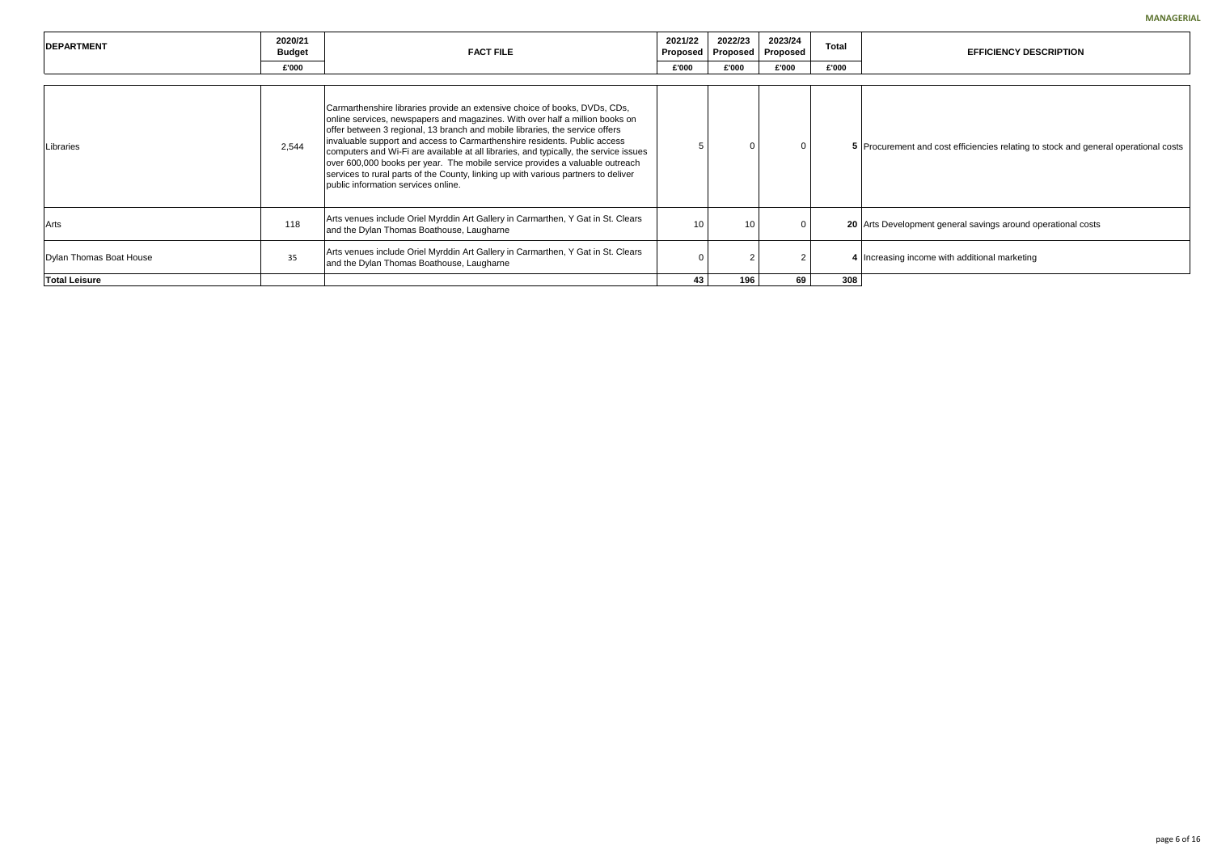t and cost efficiencies relating to stock and general operational costs

oment general savings around operational costs

ncome with additional marketing

| <b>IDEPARTMENT</b>      | 2020/21<br><b>Budget</b> | <b>FACT FILE</b>                                                                                                                                                                                                                                                                                                                                                                                                                                                                                                                                                                                                              | 2021/22<br>Proposed | 2022/23<br>Proposed | 2023/24<br>Proposed | <b>Total</b> |                 |
|-------------------------|--------------------------|-------------------------------------------------------------------------------------------------------------------------------------------------------------------------------------------------------------------------------------------------------------------------------------------------------------------------------------------------------------------------------------------------------------------------------------------------------------------------------------------------------------------------------------------------------------------------------------------------------------------------------|---------------------|---------------------|---------------------|--------------|-----------------|
|                         | £'000                    |                                                                                                                                                                                                                                                                                                                                                                                                                                                                                                                                                                                                                               | £'000               | £'000               | £'000               | £'000        |                 |
|                         |                          |                                                                                                                                                                                                                                                                                                                                                                                                                                                                                                                                                                                                                               |                     |                     |                     |              |                 |
| Libraries               | 2,544                    | Carmarthenshire libraries provide an extensive choice of books, DVDs, CDs,<br>online services, newspapers and magazines. With over half a million books on<br>offer between 3 regional, 13 branch and mobile libraries, the service offers<br>invaluable support and access to Carmarthenshire residents. Public access<br>computers and Wi-Fi are available at all libraries, and typically, the service issues<br>over 600,000 books per year. The mobile service provides a valuable outreach<br>services to rural parts of the County, linking up with various partners to deliver<br>public information services online. | 5                   |                     | $\Omega$            |              | 5 Procurement   |
| Arts                    | 118                      | Arts venues include Oriel Myrddin Art Gallery in Carmarthen, Y Gat in St. Clears<br>and the Dylan Thomas Boathouse, Laugharne                                                                                                                                                                                                                                                                                                                                                                                                                                                                                                 | 10                  | 10                  | 0                   |              | 20 Arts Develop |
| Dylan Thomas Boat House | 35                       | Arts venues include Oriel Myrddin Art Gallery in Carmarthen, Y Gat in St. Clears<br>and the Dylan Thomas Boathouse, Laugharne                                                                                                                                                                                                                                                                                                                                                                                                                                                                                                 | 0                   |                     |                     |              | 4 Increasing in |
| <b>Total Leisure</b>    |                          |                                                                                                                                                                                                                                                                                                                                                                                                                                                                                                                                                                                                                               | 43                  | 196                 | 69                  | 308          |                 |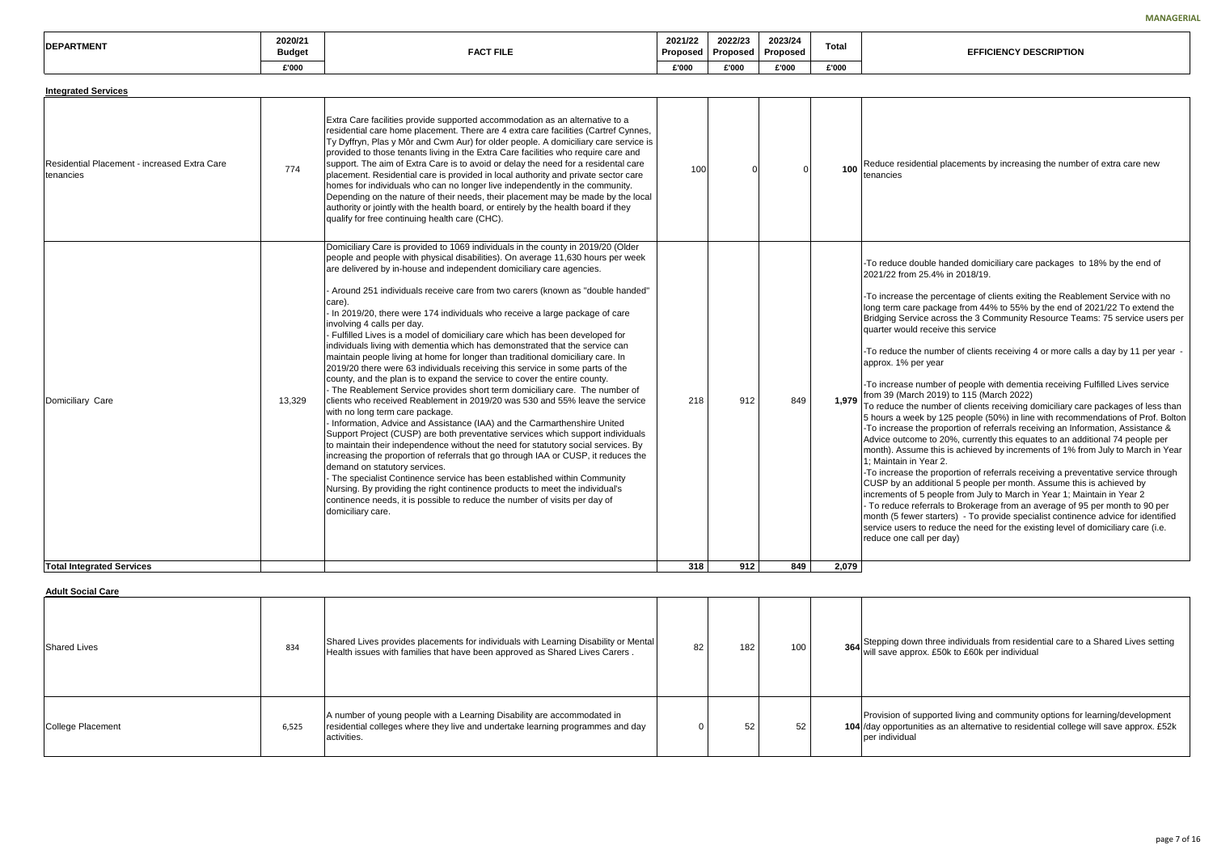ential placements by increasing the number of extra care new

buble handed domiciliary care packages to 18% by the end of 25.4% in 2018/19.

the percentage of clients exiting the Reablement Service with no package from 44% to 55% by the end of 2021/22 To extend the Bridging Service across the 3 Community Resource Teams: 75 service users per I receive this service

e number of clients receiving 4 or more calls a day by 11 per year er year

number of people with dementia receiving Fulfilled Lives service ch 2019) to 115 (March 2022)

I number of clients receiving domiciliary care packages of less than ek by 125 people (50%) in line with recommendations of Prof. Bolton the proportion of referrals receiving an Information, Assistance & me to 20%, currently this equates to an additional 74 people per me this is achieved by increments of 1% from July to March in Year i Year 2.

the proportion of referrals receiving a preventative service through additional 5 people per month. Assume this is achieved by f 5 people from July to March in Year 1; Maintain in Year 2 eferrals to Brokerage from an average of 95 per month to 90 per er starters) - To provide specialist continence advice for identified to reduce the need for the existing level of domiciliary care (i.e. all per day)

| <b>IDEPARTMENT</b><br>'IMEN | 2020/21<br><b>Budget</b> | <b>FACT FILF</b> | 2021/22<br>Proposeg | 2022/23<br>Proposed | 2023/24<br>Proposed | $\sim$<br>Tota |
|-----------------------------|--------------------------|------------------|---------------------|---------------------|---------------------|----------------|
|                             | £'000                    |                  | £'000               | £'000               | £'000               | £'000          |

Health issues with families that have been approved as Shared Lives Carers . <sup>82</sup> <sup>182</sup> <sup>100</sup> **<sup>364</sup>**Stepping down three individuals from residential care to a Shared Lives setting rox. £50k to £60k per individual

upported living and community options for learning/development lities as an alternative to residential college will save approx. £52k

| <b>Integrated Services</b>                                |        |                                                                                                                                                                                                                                                                                                                                                                                                                                                                                                                                                                                                                                                                                                                                                                                                                                                                                                                                                                                                                                                                                                                                                                                                                                                                                                                                                                                                                                                                                                                                                                                                                                                                                                                 |            |            |                |       |                                                                                                                                                                                                                                                                                                                                                                                                                                      |
|-----------------------------------------------------------|--------|-----------------------------------------------------------------------------------------------------------------------------------------------------------------------------------------------------------------------------------------------------------------------------------------------------------------------------------------------------------------------------------------------------------------------------------------------------------------------------------------------------------------------------------------------------------------------------------------------------------------------------------------------------------------------------------------------------------------------------------------------------------------------------------------------------------------------------------------------------------------------------------------------------------------------------------------------------------------------------------------------------------------------------------------------------------------------------------------------------------------------------------------------------------------------------------------------------------------------------------------------------------------------------------------------------------------------------------------------------------------------------------------------------------------------------------------------------------------------------------------------------------------------------------------------------------------------------------------------------------------------------------------------------------------------------------------------------------------|------------|------------|----------------|-------|--------------------------------------------------------------------------------------------------------------------------------------------------------------------------------------------------------------------------------------------------------------------------------------------------------------------------------------------------------------------------------------------------------------------------------------|
| Residential Placement - increased Extra Care<br>tenancies | 774    | Extra Care facilities provide supported accommodation as an alternative to a<br>residential care home placement. There are 4 extra care facilities (Cartref Cynnes,<br>Ty Dyffryn, Plas y Môr and Cwm Aur) for older people. A domiciliary care service is<br>provided to those tenants living in the Extra Care facilities who require care and<br>support. The aim of Extra Care is to avoid or delay the need for a residental care<br>placement. Residential care is provided in local authority and private sector care<br>homes for individuals who can no longer live independently in the community.<br>Depending on the nature of their needs, their placement may be made by the local<br>authority or jointly with the health board, or entirely by the health board if they<br>qualify for free continuing health care (CHC).                                                                                                                                                                                                                                                                                                                                                                                                                                                                                                                                                                                                                                                                                                                                                                                                                                                                       | 100        | $\Omega$   | $\overline{0}$ | 100   | Reduce reside<br>tenancies                                                                                                                                                                                                                                                                                                                                                                                                           |
| Domiciliary Care<br><b>Total Integrated Services</b>      | 13,329 | Domiciliary Care is provided to 1069 individuals in the county in 2019/20 (Older<br>people and people with physical disabilities). On average 11,630 hours per week<br>are delivered by in-house and independent domiciliary care agencies.<br>Around 251 individuals receive care from two carers (known as "double handed"<br>care).<br>In 2019/20, there were 174 individuals who receive a large package of care<br>involving 4 calls per day.<br>Fulfilled Lives is a model of domiciliary care which has been developed for<br>individuals living with dementia which has demonstrated that the service can<br>maintain people living at home for longer than traditional domiciliary care. In<br>2019/20 there were 63 individuals receiving this service in some parts of the<br>county, and the plan is to expand the service to cover the entire county.<br>- The Reablement Service provides short term domiciliary care. The number of<br>clients who received Reablement in 2019/20 was 530 and 55% leave the service<br>with no long term care package.<br>Information, Advice and Assistance (IAA) and the Carmarthenshire United<br>Support Project (CUSP) are both preventative services which support individuals<br>to maintain their independence without the need for statutory social services. By<br>increasing the proportion of referrals that go through IAA or CUSP, it reduces the<br>demand on statutory services.<br>- The specialist Continence service has been established within Community<br>Nursing. By providing the right continence products to meet the individual's<br>continence needs, it is possible to reduce the number of visits per day of<br>domiciliary care. | 218<br>318 | 912<br>912 | 849<br>849     | 2,079 | -To reduce do<br>2021/22 from:<br>-To increase tl<br>long term care<br><b>Bridging Servi</b><br>quarter would<br>-To reduce the<br>approx. 1% pe<br>-To increase n<br>1,979 $\vert$ from 39 (Marck<br>To reduce the<br>5 hours a wee<br>-To increase tl<br>Advice outcom<br>month). Assun<br>1; Maintain in<br>-To increase tl<br>CUSP by an a<br>increments of<br>- To reduce re<br>month (5 fewe<br>service users<br>reduce one ca |

#### **Adult Social Care**

| <b>Shared Lives</b> | 834   | Shared Lives provides placements for individuals with Learning Disability or Mental<br>Health issues with families that have been approved as Shared Lives Carers.       | 82 | 182 | 100 | $364$ Stepping dow<br>will save appro                   |
|---------------------|-------|--------------------------------------------------------------------------------------------------------------------------------------------------------------------------|----|-----|-----|---------------------------------------------------------|
| College Placement   | 6,525 | A number of young people with a Learning Disability are accommodated in<br>residential colleges where they live and undertake learning programmes and day<br>activities. | 0  | 52  | 52  | Provision of so<br>104 / day opportun<br>ber individual |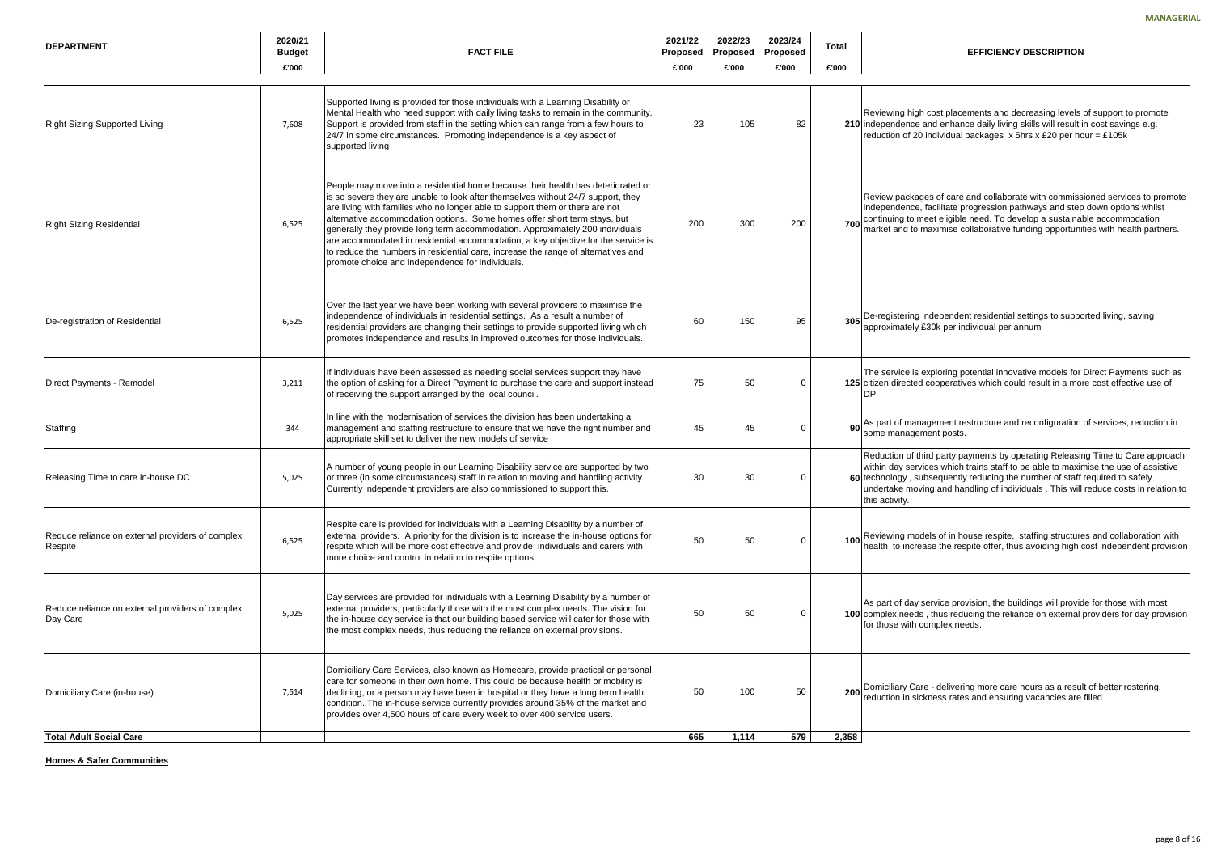|         |                              |                                     |                | <b>MANAGERI</b>                                                                                                                                                                                                                                                                                                                                               |
|---------|------------------------------|-------------------------------------|----------------|---------------------------------------------------------------------------------------------------------------------------------------------------------------------------------------------------------------------------------------------------------------------------------------------------------------------------------------------------------------|
| 2<br>ed | 2022/23<br>Proposed<br>£'000 | 2023/24<br><b>Proposed</b><br>£'000 | Total<br>£'000 | <b>EFFICIENCY DESCRIPTION</b>                                                                                                                                                                                                                                                                                                                                 |
|         |                              |                                     |                |                                                                                                                                                                                                                                                                                                                                                               |
| 23      | 105                          | 82                                  |                | Reviewing high cost placements and decreasing levels of support to promote<br>210 independence and enhance daily living skills will result in cost savings e.g.<br>reduction of 20 individual packages $x$ 5hrs $x$ £20 per hour = £105k                                                                                                                      |
| 00      | 300                          | 200                                 | 700            | Review packages of care and collaborate with commissioned services to promote<br>independence, facilitate progression pathways and step down options whilst<br>continuing to meet eligible need. To develop a sustainable accommodation<br>market and to maximise collaborative funding opportunities with health partners.                                   |
| 60      | 150                          | 95                                  | 305            | De-registering independent residential settings to supported living, saving<br>approximately £30k per individual per annum                                                                                                                                                                                                                                    |
| 75      | 50                           | 0                                   |                | The service is exploring potential innovative models for Direct Payments such as<br>125 citizen directed cooperatives which could result in a more cost effective use of<br>DP.                                                                                                                                                                               |
| 45      | 45                           | 0                                   | 90             | As part of management restructure and reconfiguration of services, reduction in<br>some management posts.                                                                                                                                                                                                                                                     |
| 30      | 30                           | 0                                   |                | Reduction of third party payments by operating Releasing Time to Care approach<br>within day services which trains staff to be able to maximise the use of assistive<br>60 technology, subsequently reducing the number of staff required to safely<br>undertake moving and handling of individuals . This will reduce costs in relation to<br>this activity. |
| 50      | 50                           | 0                                   | 100            | Reviewing models of in house respite, staffing structures and collaboration with<br>health to increase the respite offer, thus avoiding high cost independent provision                                                                                                                                                                                       |
| 50      | 50                           | 0                                   |                | As part of day service provision, the buildings will provide for those with most<br>100 complex needs, thus reducing the reliance on external providers for day provision<br>for those with complex needs.                                                                                                                                                    |
|         |                              |                                     |                |                                                                                                                                                                                                                                                                                                                                                               |

Care - delivering more care hours as a result of better rostering, sickness rates and ensuring vacancies are filled

| <b>DEPARTMENT</b>                                            | 2020/21<br><b>Budget</b> | <b>FACT FILE</b>                                                                                                                                                                                                                                                                                                                                                                                                                                                                                                                                                                                                                                 | 2021/22<br>Proposed | 2022/23<br>Proposed | 2023/24<br><b>Proposed</b> | Total | <b>EFFICIENCY DESCRIPTION</b>                                                                                                                                                                                                                                  |
|--------------------------------------------------------------|--------------------------|--------------------------------------------------------------------------------------------------------------------------------------------------------------------------------------------------------------------------------------------------------------------------------------------------------------------------------------------------------------------------------------------------------------------------------------------------------------------------------------------------------------------------------------------------------------------------------------------------------------------------------------------------|---------------------|---------------------|----------------------------|-------|----------------------------------------------------------------------------------------------------------------------------------------------------------------------------------------------------------------------------------------------------------------|
|                                                              | £'000                    |                                                                                                                                                                                                                                                                                                                                                                                                                                                                                                                                                                                                                                                  | £'000               | £'000               | £'000                      | £'000 |                                                                                                                                                                                                                                                                |
| <b>Right Sizing Supported Living</b>                         | 7,608                    | Supported living is provided for those individuals with a Learning Disability or<br>Mental Health who need support with daily living tasks to remain in the community.<br>Support is provided from staff in the setting which can range from a few hours to<br>24/7 in some circumstances. Promoting independence is a key aspect of<br>supported living                                                                                                                                                                                                                                                                                         | 23                  | 105                 | 82                         |       | Reviewing high cost placements and decreasing levels<br>210 independence and enhance daily living skills will result<br>reduction of 20 individual packages x 5hrs x £20 per ho                                                                                |
| <b>Right Sizing Residential</b>                              | 6,525                    | People may move into a residential home because their health has deteriorated or<br>is so severe they are unable to look after themselves without 24/7 support, they<br>are living with families who no longer able to support them or there are not<br>alternative accommodation options. Some homes offer short term stays, but<br>generally they provide long term accommodation. Approximately 200 individuals<br>are accommodated in residential accommodation, a key objective for the service is<br>to reduce the numbers in residential care, increase the range of alternatives and<br>promote choice and independence for individuals. | 200                 | 300                 | 200                        |       | Review packages of care and collaborate with commiss<br>independence, facilitate progression pathways and step<br>700 continuing to meet eligible need. To develop a sustainal<br>market and to maximise collaborative funding opportuni                       |
| De-registration of Residential                               | 6,525                    | Over the last year we have been working with several providers to maximise the<br>independence of individuals in residential settings. As a result a number of<br>residential providers are changing their settings to provide supported living which<br>promotes independence and results in improved outcomes for those individuals.                                                                                                                                                                                                                                                                                                           | 60                  | 150                 | 95                         |       | 305 De-registering independent residential settings to suppo<br>approximately £30k per individual per annum                                                                                                                                                    |
| Direct Payments - Remodel                                    | 3,211                    | If individuals have been assessed as needing social services support they have<br>the option of asking for a Direct Payment to purchase the care and support instead<br>of receiving the support arranged by the local council.                                                                                                                                                                                                                                                                                                                                                                                                                  | 75                  | 50                  |                            |       | The service is exploring potential innovative models for<br>125 citizen directed cooperatives which could result in a mo<br>DP.                                                                                                                                |
| Staffing                                                     | 344                      | In line with the modernisation of services the division has been undertaking a<br>management and staffing restructure to ensure that we have the right number and<br>appropriate skill set to deliver the new models of service                                                                                                                                                                                                                                                                                                                                                                                                                  | 45                  | 45                  |                            |       | 90 As part of management restructure and reconfiguration<br>some management posts.                                                                                                                                                                             |
| Releasing Time to care in-house DC                           | 5,025                    | A number of young people in our Learning Disability service are supported by two<br>or three (in some circumstances) staff in relation to moving and handling activity.<br>Currently independent providers are also commissioned to support this.                                                                                                                                                                                                                                                                                                                                                                                                | 30                  | 30                  |                            |       | Reduction of third party payments by operating Releasir<br>within day services which trains staff to be able to maxir<br>60 technology, subsequently reducing the number of staff<br>undertake moving and handling of individuals. This will<br>this activity. |
| Reduce reliance on external providers of complex<br>Respite  | 6,525                    | Respite care is provided for individuals with a Learning Disability by a number of<br>external providers. A priority for the division is to increase the in-house options for<br>respite which will be more cost effective and provide individuals and carers with<br>more choice and control in relation to respite options.                                                                                                                                                                                                                                                                                                                    | 50                  | 50                  |                            |       | 100 Reviewing models of in house respite, staffing structure<br>health to increase the respite offer, thus avoiding high of                                                                                                                                    |
| Reduce reliance on external providers of complex<br>Day Care | 5,025                    | Day services are provided for individuals with a Learning Disability by a number of<br>external providers, particularly those with the most complex needs. The vision for<br>the in-house day service is that our building based service will cater for those with<br>the most complex needs, thus reducing the reliance on external provisions.                                                                                                                                                                                                                                                                                                 | 50                  | 50                  | $\Omega$                   |       | As part of day service provision, the buildings will provid<br>100 complex needs, thus reducing the reliance on external<br>for those with complex needs.                                                                                                      |
| Domiciliary Care (in-house)                                  | 7,514                    | Domiciliary Care Services, also known as Homecare, provide practical or personal<br>care for someone in their own home. This could be because health or mobility is<br>declining, or a person may have been in hospital or they have a long term health<br>condition. The in-house service currently provides around 35% of the market and<br>provides over 4,500 hours of care every week to over 400 service users.                                                                                                                                                                                                                            | 50                  | 100                 | 50                         |       | 200 Domiciliary Care - delivering more care hours as a resul<br>reduction in sickness rates and ensuring vacancies are                                                                                                                                         |
| <b>Total Adult Social Care</b>                               |                          |                                                                                                                                                                                                                                                                                                                                                                                                                                                                                                                                                                                                                                                  | 665                 | 1,114               | 579                        | 2,358 |                                                                                                                                                                                                                                                                |

**Homes & Safer Communities**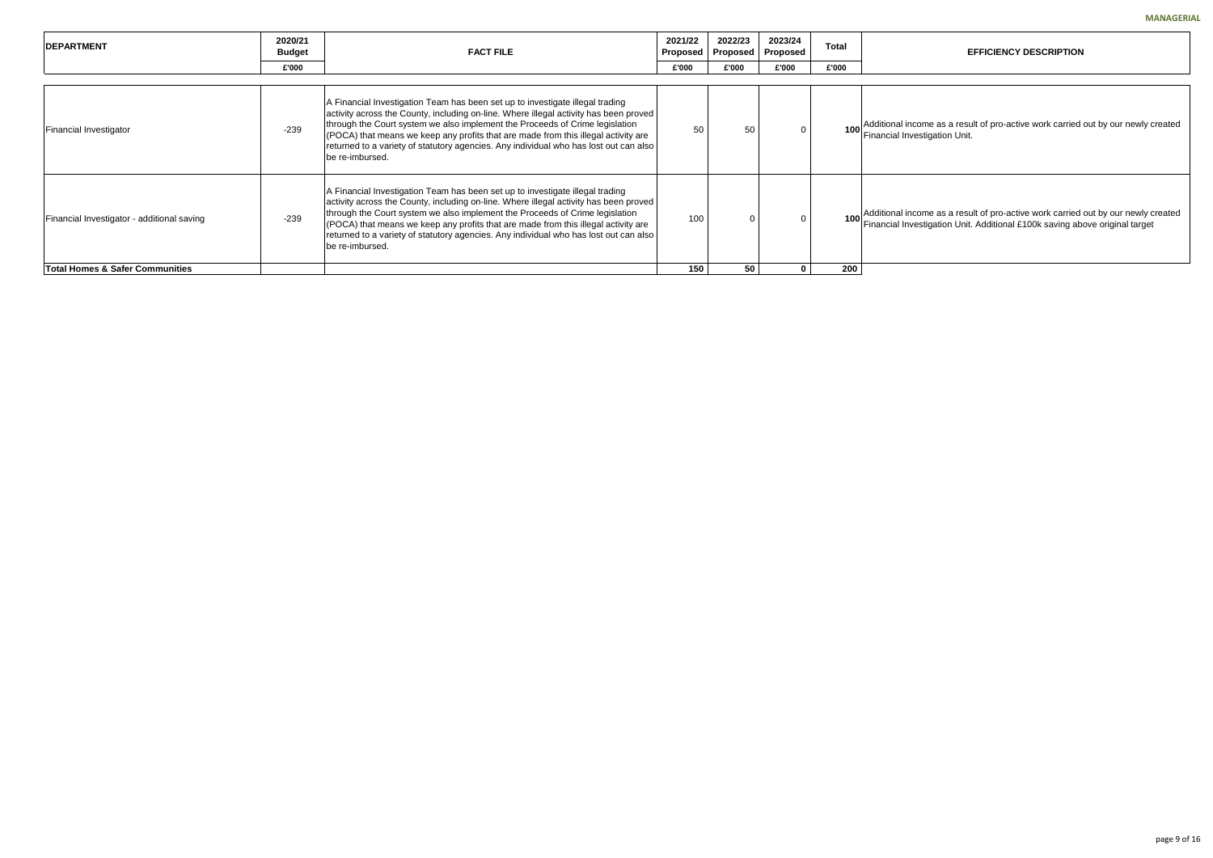come as a result of pro-active work carried out by our newly created *vestigation Unit.* 

come as a result of pro-active work carried out by our newly created  $\nu$ estigation Unit. Additional £100k saving above original target

| <b>IDEPARTMENT</b>                         | 2020/21<br><b>Budget</b> | 2021/22<br><b>FACT FILE</b><br>Proposed                                                                                                                                                                                                                                                                                                                                                                                                                  |       |          | 2023/24<br>Proposed | <b>Total</b> |                                         |
|--------------------------------------------|--------------------------|----------------------------------------------------------------------------------------------------------------------------------------------------------------------------------------------------------------------------------------------------------------------------------------------------------------------------------------------------------------------------------------------------------------------------------------------------------|-------|----------|---------------------|--------------|-----------------------------------------|
|                                            | £'000                    |                                                                                                                                                                                                                                                                                                                                                                                                                                                          | £'000 | £'000    | £'000               | £'000        |                                         |
| Financial Investigator                     | $-239$                   | A Financial Investigation Team has been set up to investigate illegal trading<br>activity across the County, including on-line. Where illegal activity has been proved<br>through the Court system we also implement the Proceeds of Crime legislation<br>(POCA) that means we keep any profits that are made from this illegal activity are<br>returned to a variety of statutory agencies. Any individual who has lost out can also<br>be re-imbursed. | 50    | 50       |                     |              | Additional inc<br><b>Financial Inve</b> |
| Financial Investigator - additional saving | $-239$                   | A Financial Investigation Team has been set up to investigate illegal trading<br>activity across the County, including on-line. Where illegal activity has been proved<br>through the Court system we also implement the Proceeds of Crime legislation<br>(POCA) that means we keep any profits that are made from this illegal activity are<br>returned to a variety of statutory agencies. Any individual who has lost out can also<br>be re-imbursed. | 100   | $\Omega$ | $\Omega$            | 100          | Additional inc<br><b>Financial Inve</b> |
| <b>Total Homes &amp; Safer Communities</b> |                          |                                                                                                                                                                                                                                                                                                                                                                                                                                                          | 150   | 50       |                     | 200          |                                         |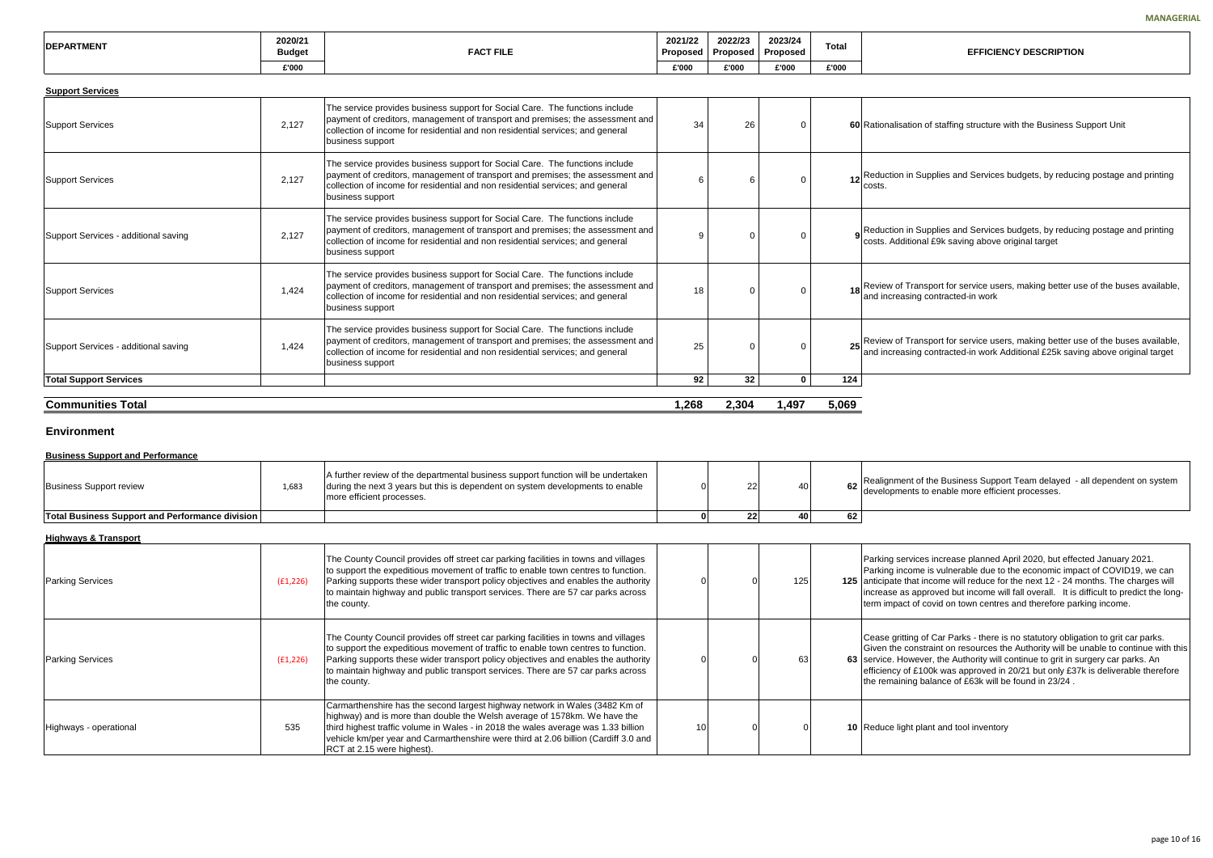| <b>IDEPARTMENT</b> | 2020/21<br><b>Budget</b> | <b>FACT FILE</b> | 2021/22<br>Proposed | 2022/23<br>Proposed | 2023/24<br>Proposed | Tota. | <b>EFFICIENCY DESCRIPTION</b> |
|--------------------|--------------------------|------------------|---------------------|---------------------|---------------------|-------|-------------------------------|
|                    | £'000                    |                  | £'000               | £'000               | £'000               | £'000 |                               |

| <b>Support Services</b>              |       |                                                                                                                                                                                                                                                                      |       |                 |              |       |                                                                                                                                        |
|--------------------------------------|-------|----------------------------------------------------------------------------------------------------------------------------------------------------------------------------------------------------------------------------------------------------------------------|-------|-----------------|--------------|-------|----------------------------------------------------------------------------------------------------------------------------------------|
| Support Services                     | 2,127 | The service provides business support for Social Care. The functions include<br>payment of creditors, management of transport and premises; the assessment and<br>collection of income for residential and non residential services; and general<br>business support | 34    | 26              | $\Omega$     |       | 60 Rationalisation of staffing structure with the Business Support Unit                                                                |
| <b>Support Services</b>              | 2,127 | The service provides business support for Social Care. The functions include<br>payment of creditors, management of transport and premises; the assessment and<br>collection of income for residential and non residential services; and general<br>business support | 6     |                 | $\Omega$     |       | 12 Reduction in Supplies and Services budgets, by reducing postage<br>costs.                                                           |
| Support Services - additional saving | 2,127 | The service provides business support for Social Care. The functions include<br>payment of creditors, management of transport and premises; the assessment and<br>collection of income for residential and non residential services; and general<br>business support | 9     |                 | $\Omega$     |       | Reduction in Supplies and Services budgets, by reducing postage<br>costs. Additional £9k saving above original target                  |
| Support Services                     | 1,424 | The service provides business support for Social Care. The functions include<br>payment of creditors, management of transport and premises; the assessment and<br>collection of income for residential and non residential services; and general<br>business support | 18    |                 | $\Omega$     |       | 18 Review of Transport for service users, making better use of the bu<br>and increasing contracted-in work                             |
| Support Services - additional saving | 1,424 | The service provides business support for Social Care. The functions include<br>payment of creditors, management of transport and premises; the assessment and<br>collection of income for residential and non residential services; and general<br>business support | 25    |                 | $\Omega$     |       | 25 Review of Transport for service users, making better use of the bu and increasing contracted-in work Additional £25k saving above o |
| <b>Total Support Services</b>        |       |                                                                                                                                                                                                                                                                      | 92    | 32 <sub>2</sub> | $\mathbf{0}$ | 124   |                                                                                                                                        |
| <b>Communities Total</b>             |       |                                                                                                                                                                                                                                                                      | 1,268 | 2,304           | 1,497        | 5,069 |                                                                                                                                        |

|                               |                     |                            |              | <b>MANAGERIA</b>                                                                                                                                                   |
|-------------------------------|---------------------|----------------------------|--------------|--------------------------------------------------------------------------------------------------------------------------------------------------------------------|
| $\overline{\mathbf{2}}$<br>ed | 2022/23<br>Proposed | 2023/24<br><b>Proposed</b> | <b>Total</b> | <b>EFFICIENCY DESCRIPTION</b>                                                                                                                                      |
|                               | £'000               | £'000                      | £'000        |                                                                                                                                                                    |
|                               |                     |                            |              |                                                                                                                                                                    |
| 34                            | 26                  | 0                          |              | 60 Rationalisation of staffing structure with the Business Support Unit                                                                                            |
| 6                             | 6                   | 0                          | 12           | Reduction in Supplies and Services budgets, by reducing postage and printing<br>costs.                                                                             |
| 9                             | 0                   | 0                          | 9            | Reduction in Supplies and Services budgets, by reducing postage and printing<br>costs. Additional £9k saving above original target                                 |
| 18                            | 0                   | 0                          | 18           | Review of Transport for service users, making better use of the buses available,<br>and increasing contracted-in work                                              |
| 25                            | 0                   | 0                          | 25           | Review of Transport for service users, making better use of the buses available,<br>and increasing contracted-in work Additional £25k saving above original target |
| 92                            | 32                  | 0                          | 124          |                                                                                                                                                                    |
|                               |                     |                            |              |                                                                                                                                                                    |
| 8                             | 2,304               | 1,497                      | 5,069        |                                                                                                                                                                    |
|                               |                     |                            |              |                                                                                                                                                                    |
| 0                             | 22                  | 40                         | 62           | Realignment of the Business Support Team delayed - all dependent on system<br>developments to enable more efficient processes.                                     |
| $\mathbf 0$                   | 22                  | 40                         | 62           |                                                                                                                                                                    |
|                               |                     |                            |              |                                                                                                                                                                    |
|                               |                     |                            |              |                                                                                                                                                                    |

ces increase planned April 2020, but effected January 2021. ne is vulnerable due to the economic impact of COVID19, we can t income will reduce for the next 12 - 24 months. The charges will approved but income will fall overall. It is difficult to predict the longif covid on town centres and therefore parking income.

Cease gritting of Car Parks - there is no statutory obligation to grit car parks. Given the constraint on resources the Authority will be unable to continue with this ever, the Authority will continue to grit in surgery car parks. An £100k was approved in 20/21 but only £37k is deliverable therefore the palance of  $£63k$  will be found in 23/24 .

plant and tool inventory

#### **Environment**

#### **Business Support and Performance**

| Business Support review                                | 1,683 | A further review of the departmental business support function will be undertaken<br>during the next 3 years but this is dependent on system developments to enable<br>more efficient processes. |  | 40 I |    | <b>IRealignment</b><br>development |
|--------------------------------------------------------|-------|--------------------------------------------------------------------------------------------------------------------------------------------------------------------------------------------------|--|------|----|------------------------------------|
| <b>Total Business Support and Performance division</b> |       |                                                                                                                                                                                                  |  | 40   | 62 |                                    |

#### **Highways & Transport**

| <b>Parking Services</b> | (E1, 226) | The County Council provides off street car parking facilities in towns and villages<br>to support the expeditious movement of traffic to enable town centres to function.<br>Parking supports these wider transport policy objectives and enables the authority<br>to maintain highway and public transport services. There are 57 car parks across<br>the county.  |    | 125 | Parking servic<br>Parking incom<br>125 anticipate that<br>increase as a<br>term impact of |
|-------------------------|-----------|---------------------------------------------------------------------------------------------------------------------------------------------------------------------------------------------------------------------------------------------------------------------------------------------------------------------------------------------------------------------|----|-----|-------------------------------------------------------------------------------------------|
| <b>Parking Services</b> | (E1, 226) | The County Council provides off street car parking facilities in towns and villages<br>to support the expeditious movement of traffic to enable town centres to function.<br>Parking supports these wider transport policy objectives and enables the authority<br>to maintain highway and public transport services. There are 57 car parks across<br>the county.  |    | 63  | Cease gritting<br>Given the con<br>63 Service, Howe<br>efficiency of £<br>the remaining   |
| Highways - operational  | 535       | Carmarthenshire has the second largest highway network in Wales (3482 Km of<br>highway) and is more than double the Welsh average of 1578km. We have the<br>third highest traffic volume in Wales - in 2018 the wales average was 1.33 billion<br>vehicle km/per year and Carmarthenshire were third at 2.06 billion (Cardiff 3.0 and<br>RCT at 2.15 were highest). | 10 |     | 10 Reduce light p                                                                         |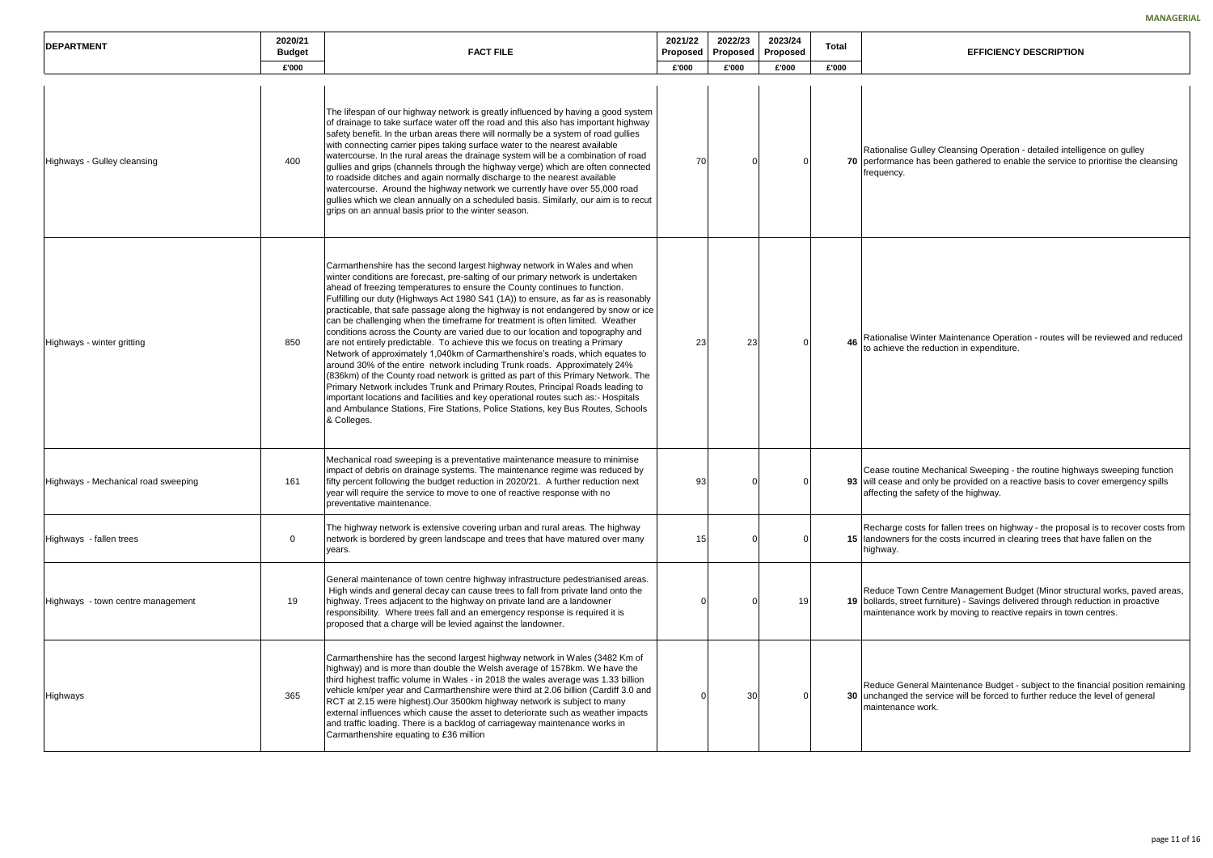Gulley Cleansing Operation - detailed intelligence on gulley e has been gathered to enable the service to prioritise the cleansing

Winter Maintenance Operation - routes will be reviewed and reduced he reduction in expenditure.

ne Mechanical Sweeping - the routine highways sweeping function nd only be provided on a reactive basis to cover emergency spills safety of the highway.

osts for fallen trees on highway - the proposal is to recover costs from for the costs incurred in clearing trees that have fallen on the

on Centre Management Budget (Minor structural works, paved areas, eet furniture) - Savings delivered through reduction in proactive e work by moving to reactive repairs in town centres.

neral Maintenance Budget - subject to the financial position remaining the service will be forced to further reduce the level of general e work.

| <b>DEPARTMENT</b>                   | 2020/21<br><b>Budget</b> | <b>FACT FILE</b>                                                                                                                                                                                                                                                                                                                                                                                                                                                                                                                                                                                                                                                                                                                                                                                                                                                                                                                                                                                                                                                                                                                                                                                      | 2021/22<br>Proposed | 2022/23<br>Proposed | 2023/24<br>Proposed | Total |                                                        |
|-------------------------------------|--------------------------|-------------------------------------------------------------------------------------------------------------------------------------------------------------------------------------------------------------------------------------------------------------------------------------------------------------------------------------------------------------------------------------------------------------------------------------------------------------------------------------------------------------------------------------------------------------------------------------------------------------------------------------------------------------------------------------------------------------------------------------------------------------------------------------------------------------------------------------------------------------------------------------------------------------------------------------------------------------------------------------------------------------------------------------------------------------------------------------------------------------------------------------------------------------------------------------------------------|---------------------|---------------------|---------------------|-------|--------------------------------------------------------|
|                                     | £'000                    |                                                                                                                                                                                                                                                                                                                                                                                                                                                                                                                                                                                                                                                                                                                                                                                                                                                                                                                                                                                                                                                                                                                                                                                                       | £'000               | £'000               | £'000               | £'000 |                                                        |
| Highways - Gulley cleansing         | 400                      | The lifespan of our highway network is greatly influenced by having a good system<br>of drainage to take surface water off the road and this also has important highway<br>safety benefit. In the urban areas there will normally be a system of road gullies<br>with connecting carrier pipes taking surface water to the nearest available<br>watercourse. In the rural areas the drainage system will be a combination of road<br>gullies and grips (channels through the highway verge) which are often connected<br>to roadside ditches and again normally discharge to the nearest available<br>watercourse. Around the highway network we currently have over 55,000 road<br>gullies which we clean annually on a scheduled basis. Similarly, our aim is to recut<br>grips on an annual basis prior to the winter season.                                                                                                                                                                                                                                                                                                                                                                      | 70                  |                     |                     |       | Rationalise G<br>70 performance<br>frequency.          |
| Highways - winter gritting          | 850                      | Carmarthenshire has the second largest highway network in Wales and when<br>winter conditions are forecast, pre-salting of our primary network is undertaken<br>ahead of freezing temperatures to ensure the County continues to function.<br>Fulfilling our duty (Highways Act 1980 S41 (1A)) to ensure, as far as is reasonably<br>practicable, that safe passage along the highway is not endangered by snow or ice<br>can be challenging when the timeframe for treatment is often limited. Weather<br>conditions across the County are varied due to our location and topography and<br>are not entirely predictable. To achieve this we focus on treating a Primary<br>Network of approximately 1,040km of Carmarthenshire's roads, which equates to<br>around 30% of the entire network including Trunk roads. Approximately 24%<br>(836km) of the County road network is gritted as part of this Primary Network. The<br>Primary Network includes Trunk and Primary Routes, Principal Roads leading to<br>important locations and facilities and key operational routes such as:- Hospitals<br>and Ambulance Stations, Fire Stations, Police Stations, key Bus Routes, Schools<br>& Colleges. | 23                  | 23                  |                     | 46    | Rationalise V<br>to achieve the                        |
| Highways - Mechanical road sweeping | 161                      | Mechanical road sweeping is a preventative maintenance measure to minimise<br>impact of debris on drainage systems. The maintenance regime was reduced by<br>fifty percent following the budget reduction in 2020/21. A further reduction next<br>year will require the service to move to one of reactive response with no<br>preventative maintenance.                                                                                                                                                                                                                                                                                                                                                                                                                                                                                                                                                                                                                                                                                                                                                                                                                                              | 93                  |                     | 0                   |       | Cease routine<br>93 will cease an<br>affecting the     |
| Highways - fallen trees             | 0                        | The highway network is extensive covering urban and rural areas. The highway<br>network is bordered by green landscape and trees that have matured over many<br>years.                                                                                                                                                                                                                                                                                                                                                                                                                                                                                                                                                                                                                                                                                                                                                                                                                                                                                                                                                                                                                                | 15                  |                     |                     |       | Recharge cos<br>15 landowners fo<br>highway.           |
| Highways - town centre management   | 19                       | General maintenance of town centre highway infrastructure pedestrianised areas.<br>High winds and general decay can cause trees to fall from private land onto the<br>highway. Trees adjacent to the highway on private land are a landowner<br>responsibility. Where trees fall and an emergency response is required it is<br>proposed that a charge will be levied against the landowner.                                                                                                                                                                                                                                                                                                                                                                                                                                                                                                                                                                                                                                                                                                                                                                                                          |                     |                     | 19                  |       | <b>Reduce Towi</b><br>19 bollards, stre<br>maintenance |
| Highways                            | 365                      | Carmarthenshire has the second largest highway network in Wales (3482 Km of<br>highway) and is more than double the Welsh average of 1578km. We have the<br>third highest traffic volume in Wales - in 2018 the wales average was 1.33 billion<br>vehicle km/per year and Carmarthenshire were third at 2.06 billion (Cardiff 3.0 and<br>RCT at 2.15 were highest).Our 3500km highway network is subject to many<br>external influences which cause the asset to deteriorate such as weather impacts<br>and traffic loading. There is a backlog of carriageway maintenance works in<br>Carmarthenshire equating to £36 million                                                                                                                                                                                                                                                                                                                                                                                                                                                                                                                                                                        |                     | 30                  |                     |       | Reduce Gene<br>30 unchanged th<br>maintenance          |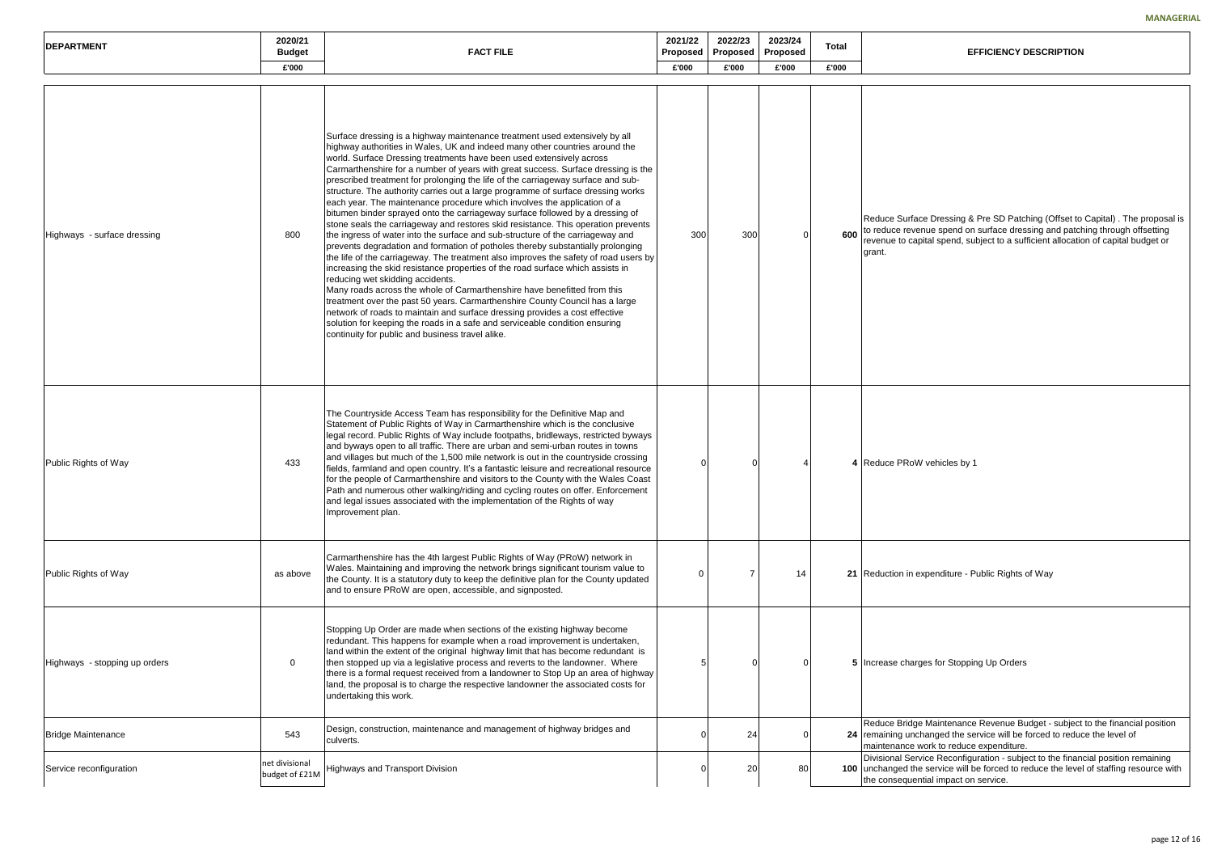face Dressing & Pre SD Patching (Offset to Capital) . The proposal is venue spend on surface dressing and patching through offsetting apital spend, subject to a sufficient allocation of capital budget or

oW vehicles by 1

| <b>DEPARTMENT</b>             | 2020/21<br><b>Budget</b>         | <b>FACT FILE</b>                                                                                                                                                                                                                                                                                                                                                                                                                                                                                                                                                                                                                                                                                                                                                                                                                                                                                                                                                                                                                                                                                                                                                                                                                                                                                                                                                                                                                                                                                                   | 2021/22<br>Proposed | 2022/23<br>Proposed | 2023/24<br>Proposed | Total |                                                          |
|-------------------------------|----------------------------------|--------------------------------------------------------------------------------------------------------------------------------------------------------------------------------------------------------------------------------------------------------------------------------------------------------------------------------------------------------------------------------------------------------------------------------------------------------------------------------------------------------------------------------------------------------------------------------------------------------------------------------------------------------------------------------------------------------------------------------------------------------------------------------------------------------------------------------------------------------------------------------------------------------------------------------------------------------------------------------------------------------------------------------------------------------------------------------------------------------------------------------------------------------------------------------------------------------------------------------------------------------------------------------------------------------------------------------------------------------------------------------------------------------------------------------------------------------------------------------------------------------------------|---------------------|---------------------|---------------------|-------|----------------------------------------------------------|
|                               | £'000                            |                                                                                                                                                                                                                                                                                                                                                                                                                                                                                                                                                                                                                                                                                                                                                                                                                                                                                                                                                                                                                                                                                                                                                                                                                                                                                                                                                                                                                                                                                                                    | £'000               | £'000               | £'000               | £'000 |                                                          |
| Highways - surface dressing   | 800                              | Surface dressing is a highway maintenance treatment used extensively by all<br>highway authorities in Wales, UK and indeed many other countries around the<br>world. Surface Dressing treatments have been used extensively across<br>Carmarthenshire for a number of years with great success. Surface dressing is the<br>prescribed treatment for prolonging the life of the carriageway surface and sub-<br>structure. The authority carries out a large programme of surface dressing works<br>each year. The maintenance procedure which involves the application of a<br>bitumen binder sprayed onto the carriageway surface followed by a dressing of<br>stone seals the carriageway and restores skid resistance. This operation prevents<br>the ingress of water into the surface and sub-structure of the carriageway and<br>prevents degradation and formation of potholes thereby substantially prolonging<br>the life of the carriageway. The treatment also improves the safety of road users by<br>increasing the skid resistance properties of the road surface which assists in<br>reducing wet skidding accidents.<br>Many roads across the whole of Carmarthenshire have benefitted from this<br>treatment over the past 50 years. Carmarthenshire County Council has a large<br>network of roads to maintain and surface dressing provides a cost effective<br>solution for keeping the roads in a safe and serviceable condition ensuring<br>continuity for public and business travel alike. | 300                 | 300                 |                     | 600   | Reduce Surfa<br>to reduce rev<br>revenue to ca<br>grant. |
| Public Rights of Way          | 433                              | The Countryside Access Team has responsibility for the Definitive Map and<br>Statement of Public Rights of Way in Carmarthenshire which is the conclusive<br>legal record. Public Rights of Way include footpaths, bridleways, restricted byways<br>and byways open to all traffic. There are urban and semi-urban routes in towns<br>and villages but much of the 1,500 mile network is out in the countryside crossing<br>fields, farmland and open country. It's a fantastic leisure and recreational resource<br>for the people of Carmarthenshire and visitors to the County with the Wales Coast<br>Path and numerous other walking/riding and cycling routes on offer. Enforcement<br>and legal issues associated with the implementation of the Rights of way<br>Improvement plan.                                                                                                                                                                                                                                                                                                                                                                                                                                                                                                                                                                                                                                                                                                                         | ∩                   |                     |                     |       | 4 Reduce PRo                                             |
| Public Rights of Way          | as above                         | Carmarthenshire has the 4th largest Public Rights of Way (PRoW) network in<br>Wales. Maintaining and improving the network brings significant tourism value to<br>the County. It is a statutory duty to keep the definitive plan for the County updated<br>and to ensure PRoW are open, accessible, and signposted.                                                                                                                                                                                                                                                                                                                                                                                                                                                                                                                                                                                                                                                                                                                                                                                                                                                                                                                                                                                                                                                                                                                                                                                                | 0                   |                     | 14                  |       | 21 Reduction in                                          |
| Highways - stopping up orders | 0                                | Stopping Up Order are made when sections of the existing highway become<br>redundant. This happens for example when a road improvement is undertaken,<br>land within the extent of the original highway limit that has become redundant is<br>then stopped up via a legislative process and reverts to the landowner. Where<br>there is a formal request received from a landowner to Stop Up an area of highway<br>land, the proposal is to charge the respective landowner the associated costs for<br>undertaking this work.                                                                                                                                                                                                                                                                                                                                                                                                                                                                                                                                                                                                                                                                                                                                                                                                                                                                                                                                                                                    |                     |                     |                     |       | 5 Increase cha                                           |
| <b>Bridge Maintenance</b>     | 543                              | Design, construction, maintenance and management of highway bridges and<br>culverts.                                                                                                                                                                                                                                                                                                                                                                                                                                                                                                                                                                                                                                                                                                                                                                                                                                                                                                                                                                                                                                                                                                                                                                                                                                                                                                                                                                                                                               | ∩                   | 24                  |                     |       | Reduce Bridg<br>24 remaining un<br>maintenance           |
| Service reconfiguration       | net divisional<br>budget of £21M | <b>Highways and Transport Division</b>                                                                                                                                                                                                                                                                                                                                                                                                                                                                                                                                                                                                                                                                                                                                                                                                                                                                                                                                                                                                                                                                                                                                                                                                                                                                                                                                                                                                                                                                             | $\Omega$            | 20                  | 80                  |       | <b>Divisional Se</b><br>100 unchanged th<br>the conseque |

0 7 14 **21** Reduction in expenditure - Public Rights of Way

arges for Stopping Up Orders

Ige Maintenance Revenue Budget - subject to the financial position nchanged the service will be forced to reduce the level of e work to reduce expenditure. ervice Reconfiguration - subject to the financial position remaining

the service will be forced to reduce the level of staffing resource with ential impact on service.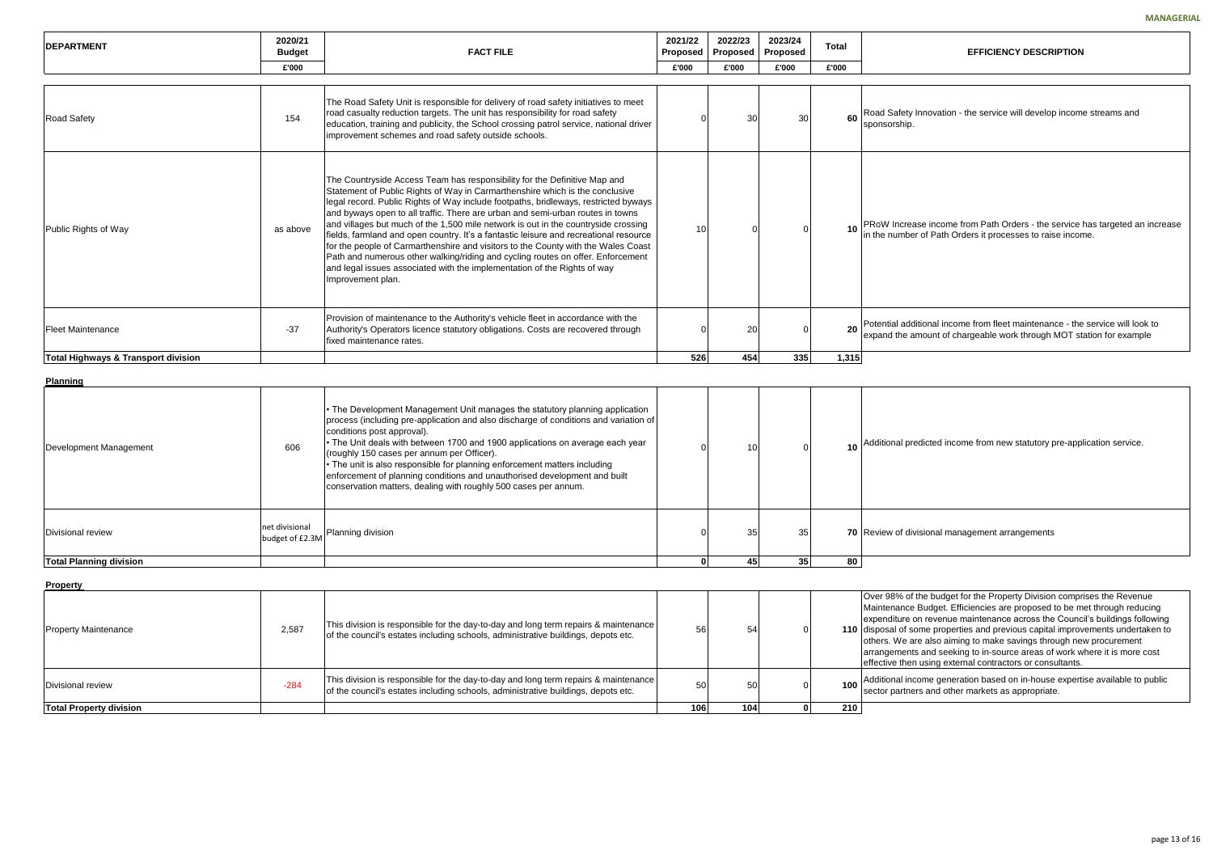| 2<br>٠d   | 2022/23<br>Proposed | 2023/24<br>Proposed | <b>Total</b> | <b>EFFICIENCY DESCRIPTION</b>                                                                                                                         |
|-----------|---------------------|---------------------|--------------|-------------------------------------------------------------------------------------------------------------------------------------------------------|
|           | £'000               | £'000               | £'000        |                                                                                                                                                       |
|           |                     |                     |              |                                                                                                                                                       |
| 0         | 30                  | 30                  | 60           | Road Safety Innovation - the service will develop income streams and<br>sponsorship.                                                                  |
| 10        | 0                   | 0                   | 10           | PRoW Increase income from Path Orders - the service has targeted an increase<br>in the number of Path Orders it processes to raise income.            |
| 0         | 20                  | 0                   | 20           | Potential additional income from fleet maintenance - the service will look to<br>expand the amount of chargeable work through MOT station for example |
| 26        | 454                 | 335                 | 1,315        |                                                                                                                                                       |
|           |                     |                     |              |                                                                                                                                                       |
| 0         | 10                  | 0                   | 10           | Additional predicted income from new statutory pre-application service.                                                                               |
| 0         | 35                  | 35                  |              | 70 Review of divisional management arrangements                                                                                                       |
| $\pmb{0}$ | 45                  | 35                  | 80           |                                                                                                                                                       |
|           |                     |                     |              |                                                                                                                                                       |

the budget for the Property Division comprises the Revenue Maintenance Budget. Efficiencies are proposed to be met through reducing expenditure on revenue maintenance across the Council's buildings following ome properties and previous capital improvements undertaken to re also aiming to make savings through new procurement s and seeking to in-source areas of work where it is more cost i using external contractors or consultants.

> ome generation based on in-house expertise available to public rs and other markets as appropriate.

| <b>IDEPARTMENT</b>                  | 2020/21<br><b>Budget</b> | <b>FACT FILE</b>                                                                                                                                                                                                                                                                                                                                                                                                                                                                                                                                                                                                                                                                                                                                                                           | 2021/22<br>Proposed | 2022/23<br>Proposed | 2023/24<br>Proposed | <b>Total</b> | <b>EFFICIENCY DESCRIPTION</b>                                                                                      |
|-------------------------------------|--------------------------|--------------------------------------------------------------------------------------------------------------------------------------------------------------------------------------------------------------------------------------------------------------------------------------------------------------------------------------------------------------------------------------------------------------------------------------------------------------------------------------------------------------------------------------------------------------------------------------------------------------------------------------------------------------------------------------------------------------------------------------------------------------------------------------------|---------------------|---------------------|---------------------|--------------|--------------------------------------------------------------------------------------------------------------------|
|                                     | £'000                    |                                                                                                                                                                                                                                                                                                                                                                                                                                                                                                                                                                                                                                                                                                                                                                                            | £'000               | £'000               | £'000               | £'000        |                                                                                                                    |
| <b>Road Safety</b>                  | 154                      | The Road Safety Unit is responsible for delivery of road safety initiatives to meet<br>road casualty reduction targets. The unit has responsibility for road safety<br>education, training and publicity, the School crossing patrol service, national driver<br>improvement schemes and road safety outside schools.                                                                                                                                                                                                                                                                                                                                                                                                                                                                      |                     | 30                  | 30                  |              | 60 Road Safety Innovation - the service will develop income<br>sponsorship.                                        |
| Public Rights of Way                | as above                 | The Countryside Access Team has responsibility for the Definitive Map and<br>Statement of Public Rights of Way in Carmarthenshire which is the conclusive<br>legal record. Public Rights of Way include footpaths, bridleways, restricted byways<br>and byways open to all traffic. There are urban and semi-urban routes in towns<br>and villages but much of the 1,500 mile network is out in the countryside crossing<br>fields, farmland and open country. It's a fantastic leisure and recreational resource<br>for the people of Carmarthenshire and visitors to the County with the Wales Coast<br>Path and numerous other walking/riding and cycling routes on offer. Enforcement<br>and legal issues associated with the implementation of the Rights of way<br>Improvement plan. | 10                  |                     |                     |              | 10 PRoW Increase income from Path Orders - the service<br>in the number of Path Orders it processes to raise incor |
| <b>Fleet Maintenance</b>            | $-37$                    | Provision of maintenance to the Authority's vehicle fleet in accordance with the<br>Authority's Operators licence statutory obligations. Costs are recovered through<br>fixed maintenance rates.                                                                                                                                                                                                                                                                                                                                                                                                                                                                                                                                                                                           |                     | 20                  |                     |              | 20 Potential additional income from fleet maintenance - the<br>expand the amount of chargeable work through MOT st |
| Total Highways & Transport division |                          |                                                                                                                                                                                                                                                                                                                                                                                                                                                                                                                                                                                                                                                                                                                                                                                            | 526                 | 454                 | 335                 | 1.315        |                                                                                                                    |

**Planning**

| Development Management         | 606                               | • The Development Management Unit manages the statutory planning application<br>process (including pre-application and also discharge of conditions and variation of<br>conditions post approval).<br>• The Unit deals with between 1700 and 1900 applications on average each year<br>(roughly 150 cases per annum per Officer).<br>$\cdot$ The unit is also responsible for planning enforcement matters including<br>enforcement of planning conditions and unauthorised development and built<br>conservation matters, dealing with roughly 500 cases per annum. |    |                 |    | 10 Additional predicted income from new statutory p |
|--------------------------------|-----------------------------------|----------------------------------------------------------------------------------------------------------------------------------------------------------------------------------------------------------------------------------------------------------------------------------------------------------------------------------------------------------------------------------------------------------------------------------------------------------------------------------------------------------------------------------------------------------------------|----|-----------------|----|-----------------------------------------------------|
| Divisional review              | net divisional<br>budget of £2.3M | Planning division                                                                                                                                                                                                                                                                                                                                                                                                                                                                                                                                                    | 35 | 35              |    | 70 Review of divisional management arrangements     |
| <b>Total Planning division</b> |                                   |                                                                                                                                                                                                                                                                                                                                                                                                                                                                                                                                                                      |    | 35 <sub>l</sub> | 80 |                                                     |

**Property** 

| <b>Total Property division</b> |        |                                                                                                                                                                          | 106 | 104 | 210 <sub>1</sub> |                                                                                                                         |
|--------------------------------|--------|--------------------------------------------------------------------------------------------------------------------------------------------------------------------------|-----|-----|------------------|-------------------------------------------------------------------------------------------------------------------------|
| Divisional review              | $-284$ | This division is responsible for the day-to-day and long term repairs & maintenance<br>of the council's estates including schools, administrative buildings, depots etc. | 50  | 50  | 100 <sub>1</sub> | Additional inco<br>sector partner                                                                                       |
| .<br>Property Maintenance      | 2,587  | This division is responsible for the day-to-day and long term repairs & maintenance<br>of the council's estates including schools, administrative buildings, depots etc. | 56  | 54  |                  | Over 98% of t<br>Maintenance<br>expenditure o<br>110 disposal of so<br>lothers. We ar<br>arrangements<br>effective then |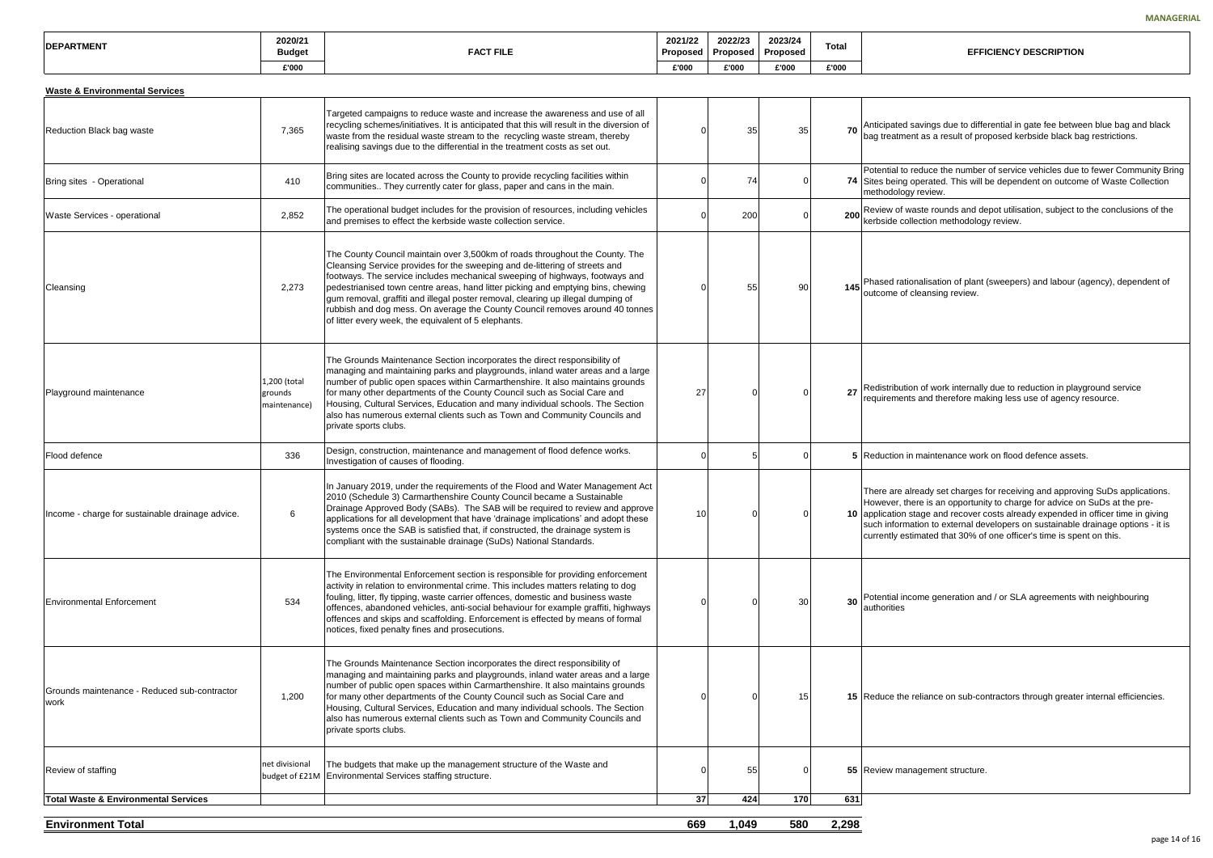avings due to differential in gate fee between blue bag and black t as a result of proposed kerbside black bag restrictions.

educe the number of service vehicles due to fewer Community Bring perated. This will be dependent on outcome of Waste Collection review.

aste rounds and depot utilisation, subject to the conclusions of the ection methodology review.

nalisation of plant (sweepers) and labour (agency), dependent of leansing review.

**27** of work internally due to reduction in playground service and therefore making less use of agency resource.

maintenance work on flood defence assets.

eady set charges for receiving and approving SuDs applications. re is an opportunity to charge for advice on SuDs at the preage and recover costs already expended in officer time in giving tion to external developers on sustainable drainage options - it is mated that 30% of one officer's time is spent on this.

ome generation and / or SLA agreements with neighbouring

eliance on sub-contractors through greater internal efficiencies.

| <b>IDEPARTMENT</b> | 2020/21<br><b>Budget</b> | <b>FACT FILE</b> | 2021/22<br>Proposed | 2022/23<br>Proposed | 2023/24<br>Proposed | <b>Total</b> |
|--------------------|--------------------------|------------------|---------------------|---------------------|---------------------|--------------|
|                    | £'000                    |                  | £'00(               | £'000               | £'000               | £'000        |

| Targeted campaigns to reduce waste and increase the awareness and use of all<br>recycling schemes/initiatives. It is anticipated that this will result in the diversion of<br>70 Anticipated savings due to differ<br>7,365<br>35<br>Reduction Black bag waste<br>35<br>waste from the residual waste stream to the recycling waste stream, thereby<br>realising savings due to the differential in the treatment costs as set out.<br>Bring sites are located across the County to provide recycling facilities within<br>74<br>410<br>74 Sites being operated. This will<br>Bring sites - Operational<br>communities They currently cater for glass, paper and cans in the main.<br>methodology review.<br>The operational budget includes for the provision of resources, including vehicles<br>200 Review of waste rounds and de<br>Waste Services - operational<br>2,852<br>200<br>and premises to effect the kerbside waste collection service.<br>The County Council maintain over 3,500km of roads throughout the County. The<br>Cleansing Service provides for the sweeping and de-littering of streets and<br>footways. The service includes mechanical sweeping of highways, footways and<br>145 Phased rationalisation of plant<br>2,273<br>pedestrianised town centre areas, hand litter picking and emptying bins, chewing<br>90<br>Cleansing<br>55<br>outcome of cleansing review.<br>gum removal, graffiti and illegal poster removal, clearing up illegal dumping of<br>rubbish and dog mess. On average the County Council removes around 40 tonnes<br>of litter every week, the equivalent of 5 elephants.<br>The Grounds Maintenance Section incorporates the direct responsibility of<br>managing and maintaining parks and playgrounds, inland water areas and a large<br>1,200 (total<br>number of public open spaces within Carmarthenshire. It also maintains grounds<br>Redistribution of work internally<br>27<br>for many other departments of the County Council such as Social Care and<br>27<br>Playground maintenance<br>grounds<br>Housing, Cultural Services, Education and many individual schools. The Section<br>maintenance)<br>also has numerous external clients such as Town and Community Councils and<br>private sports clubs.<br>Design, construction, maintenance and management of flood defence works.<br>Flood defence<br>5 Reduction in maintenance work<br>336<br>Investigation of causes of flooding.<br>In January 2019, under the requirements of the Flood and Water Management Act<br>2010 (Schedule 3) Carmarthenshire County Council became a Sustainable<br>Drainage Approved Body (SABs). The SAB will be required to review and approve<br>10 application stage and recover of<br>Income - charge for sustainable drainage advice.<br>6<br>10<br>applications for all development that have 'drainage implications' and adopt these<br>systems once the SAB is satisfied that, if constructed, the drainage system is<br>compliant with the sustainable drainage (SuDs) National Standards.<br>The Environmental Enforcement section is responsible for providing enforcement<br>activity in relation to environmental crime. This includes matters relating to dog<br>fouling, litter, fly tipping, waste carrier offences, domestic and business waste<br>30<br>30<br><b>Environmental Enforcement</b><br>534<br>offences, abandoned vehicles, anti-social behaviour for example graffiti, highways<br>authorities<br>offences and skips and scaffolding. Enforcement is effected by means of formal<br>notices, fixed penalty fines and prosecutions.<br>The Grounds Maintenance Section incorporates the direct responsibility of<br>managing and maintaining parks and playgrounds, inland water areas and a large<br>number of public open spaces within Carmarthenshire. It also maintains grounds<br>Grounds maintenance - Reduced sub-contractor<br>for many other departments of the County Council such as Social Care and<br>15<br>1,200<br>15 Reduce the reliance on sub-co<br>work<br>Housing, Cultural Services, Education and many individual schools. The Section<br>also has numerous external clients such as Town and Community Councils and<br>private sports clubs.<br>net divisional<br>The budgets that make up the management structure of the Waste and<br>55<br>Review of staffing<br><sup>0</sup><br>55 Review management structure<br>Environmental Services staffing structure.<br>budget of £21M<br><b>Total Waste &amp; Environmental Services</b><br>37<br>170<br>424<br>631 | <b>Waste &amp; Environmental Services</b> |  |  |  |                                                                                                                                       |
|---------------------------------------------------------------------------------------------------------------------------------------------------------------------------------------------------------------------------------------------------------------------------------------------------------------------------------------------------------------------------------------------------------------------------------------------------------------------------------------------------------------------------------------------------------------------------------------------------------------------------------------------------------------------------------------------------------------------------------------------------------------------------------------------------------------------------------------------------------------------------------------------------------------------------------------------------------------------------------------------------------------------------------------------------------------------------------------------------------------------------------------------------------------------------------------------------------------------------------------------------------------------------------------------------------------------------------------------------------------------------------------------------------------------------------------------------------------------------------------------------------------------------------------------------------------------------------------------------------------------------------------------------------------------------------------------------------------------------------------------------------------------------------------------------------------------------------------------------------------------------------------------------------------------------------------------------------------------------------------------------------------------------------------------------------------------------------------------------------------------------------------------------------------------------------------------------------------------------------------------------------------------------------------------------------------------------------------------------------------------------------------------------------------------------------------------------------------------------------------------------------------------------------------------------------------------------------------------------------------------------------------------------------------------------------------------------------------------------------------------------------------------------------------------------------------------------------------------------------------------------------------------------------------------------------------------------------------------------------------------------------------------------------------------------------------------------------------------------------------------------------------------------------------------------------------------------------------------------------------------------------------------------------------------------------------------------------------------------------------------------------------------------------------------------------------------------------------------------------------------------------------------------------------------------------------------------------------------------------------------------------------------------------------------------------------------------------------------------------------------------------------------------------------------------------------------------------------------------------------------------------------------------------------------------------------------------------------------------------------------------------------------------------------------------------------------------------------------------------------------------------------------------------------------------------------------------------------------------------------------------------------------------------------------------------------------------------------------------------------------------------------------------------------------------------------------------------------------------------------------------------------------------------------------------------------------------|-------------------------------------------|--|--|--|---------------------------------------------------------------------------------------------------------------------------------------|
|                                                                                                                                                                                                                                                                                                                                                                                                                                                                                                                                                                                                                                                                                                                                                                                                                                                                                                                                                                                                                                                                                                                                                                                                                                                                                                                                                                                                                                                                                                                                                                                                                                                                                                                                                                                                                                                                                                                                                                                                                                                                                                                                                                                                                                                                                                                                                                                                                                                                                                                                                                                                                                                                                                                                                                                                                                                                                                                                                                                                                                                                                                                                                                                                                                                                                                                                                                                                                                                                                                                                                                                                                                                                                                                                                                                                                                                                                                                                                                                                                                                                                                                                                                                                                                                                                                                                                                                                                                                                                                                                                                           |                                           |  |  |  | bag treatment as a result of pro                                                                                                      |
|                                                                                                                                                                                                                                                                                                                                                                                                                                                                                                                                                                                                                                                                                                                                                                                                                                                                                                                                                                                                                                                                                                                                                                                                                                                                                                                                                                                                                                                                                                                                                                                                                                                                                                                                                                                                                                                                                                                                                                                                                                                                                                                                                                                                                                                                                                                                                                                                                                                                                                                                                                                                                                                                                                                                                                                                                                                                                                                                                                                                                                                                                                                                                                                                                                                                                                                                                                                                                                                                                                                                                                                                                                                                                                                                                                                                                                                                                                                                                                                                                                                                                                                                                                                                                                                                                                                                                                                                                                                                                                                                                                           |                                           |  |  |  | Potential to reduce the number                                                                                                        |
|                                                                                                                                                                                                                                                                                                                                                                                                                                                                                                                                                                                                                                                                                                                                                                                                                                                                                                                                                                                                                                                                                                                                                                                                                                                                                                                                                                                                                                                                                                                                                                                                                                                                                                                                                                                                                                                                                                                                                                                                                                                                                                                                                                                                                                                                                                                                                                                                                                                                                                                                                                                                                                                                                                                                                                                                                                                                                                                                                                                                                                                                                                                                                                                                                                                                                                                                                                                                                                                                                                                                                                                                                                                                                                                                                                                                                                                                                                                                                                                                                                                                                                                                                                                                                                                                                                                                                                                                                                                                                                                                                                           |                                           |  |  |  | kerbside collection methodolog                                                                                                        |
|                                                                                                                                                                                                                                                                                                                                                                                                                                                                                                                                                                                                                                                                                                                                                                                                                                                                                                                                                                                                                                                                                                                                                                                                                                                                                                                                                                                                                                                                                                                                                                                                                                                                                                                                                                                                                                                                                                                                                                                                                                                                                                                                                                                                                                                                                                                                                                                                                                                                                                                                                                                                                                                                                                                                                                                                                                                                                                                                                                                                                                                                                                                                                                                                                                                                                                                                                                                                                                                                                                                                                                                                                                                                                                                                                                                                                                                                                                                                                                                                                                                                                                                                                                                                                                                                                                                                                                                                                                                                                                                                                                           |                                           |  |  |  |                                                                                                                                       |
|                                                                                                                                                                                                                                                                                                                                                                                                                                                                                                                                                                                                                                                                                                                                                                                                                                                                                                                                                                                                                                                                                                                                                                                                                                                                                                                                                                                                                                                                                                                                                                                                                                                                                                                                                                                                                                                                                                                                                                                                                                                                                                                                                                                                                                                                                                                                                                                                                                                                                                                                                                                                                                                                                                                                                                                                                                                                                                                                                                                                                                                                                                                                                                                                                                                                                                                                                                                                                                                                                                                                                                                                                                                                                                                                                                                                                                                                                                                                                                                                                                                                                                                                                                                                                                                                                                                                                                                                                                                                                                                                                                           |                                           |  |  |  | requirements and therefore ma                                                                                                         |
|                                                                                                                                                                                                                                                                                                                                                                                                                                                                                                                                                                                                                                                                                                                                                                                                                                                                                                                                                                                                                                                                                                                                                                                                                                                                                                                                                                                                                                                                                                                                                                                                                                                                                                                                                                                                                                                                                                                                                                                                                                                                                                                                                                                                                                                                                                                                                                                                                                                                                                                                                                                                                                                                                                                                                                                                                                                                                                                                                                                                                                                                                                                                                                                                                                                                                                                                                                                                                                                                                                                                                                                                                                                                                                                                                                                                                                                                                                                                                                                                                                                                                                                                                                                                                                                                                                                                                                                                                                                                                                                                                                           |                                           |  |  |  |                                                                                                                                       |
|                                                                                                                                                                                                                                                                                                                                                                                                                                                                                                                                                                                                                                                                                                                                                                                                                                                                                                                                                                                                                                                                                                                                                                                                                                                                                                                                                                                                                                                                                                                                                                                                                                                                                                                                                                                                                                                                                                                                                                                                                                                                                                                                                                                                                                                                                                                                                                                                                                                                                                                                                                                                                                                                                                                                                                                                                                                                                                                                                                                                                                                                                                                                                                                                                                                                                                                                                                                                                                                                                                                                                                                                                                                                                                                                                                                                                                                                                                                                                                                                                                                                                                                                                                                                                                                                                                                                                                                                                                                                                                                                                                           |                                           |  |  |  | There are already set charges<br>However, there is an opportuni<br>such information to external de<br>currently estimated that 30% of |
|                                                                                                                                                                                                                                                                                                                                                                                                                                                                                                                                                                                                                                                                                                                                                                                                                                                                                                                                                                                                                                                                                                                                                                                                                                                                                                                                                                                                                                                                                                                                                                                                                                                                                                                                                                                                                                                                                                                                                                                                                                                                                                                                                                                                                                                                                                                                                                                                                                                                                                                                                                                                                                                                                                                                                                                                                                                                                                                                                                                                                                                                                                                                                                                                                                                                                                                                                                                                                                                                                                                                                                                                                                                                                                                                                                                                                                                                                                                                                                                                                                                                                                                                                                                                                                                                                                                                                                                                                                                                                                                                                                           |                                           |  |  |  | Potential income generation an                                                                                                        |
|                                                                                                                                                                                                                                                                                                                                                                                                                                                                                                                                                                                                                                                                                                                                                                                                                                                                                                                                                                                                                                                                                                                                                                                                                                                                                                                                                                                                                                                                                                                                                                                                                                                                                                                                                                                                                                                                                                                                                                                                                                                                                                                                                                                                                                                                                                                                                                                                                                                                                                                                                                                                                                                                                                                                                                                                                                                                                                                                                                                                                                                                                                                                                                                                                                                                                                                                                                                                                                                                                                                                                                                                                                                                                                                                                                                                                                                                                                                                                                                                                                                                                                                                                                                                                                                                                                                                                                                                                                                                                                                                                                           |                                           |  |  |  |                                                                                                                                       |
|                                                                                                                                                                                                                                                                                                                                                                                                                                                                                                                                                                                                                                                                                                                                                                                                                                                                                                                                                                                                                                                                                                                                                                                                                                                                                                                                                                                                                                                                                                                                                                                                                                                                                                                                                                                                                                                                                                                                                                                                                                                                                                                                                                                                                                                                                                                                                                                                                                                                                                                                                                                                                                                                                                                                                                                                                                                                                                                                                                                                                                                                                                                                                                                                                                                                                                                                                                                                                                                                                                                                                                                                                                                                                                                                                                                                                                                                                                                                                                                                                                                                                                                                                                                                                                                                                                                                                                                                                                                                                                                                                                           |                                           |  |  |  |                                                                                                                                       |
|                                                                                                                                                                                                                                                                                                                                                                                                                                                                                                                                                                                                                                                                                                                                                                                                                                                                                                                                                                                                                                                                                                                                                                                                                                                                                                                                                                                                                                                                                                                                                                                                                                                                                                                                                                                                                                                                                                                                                                                                                                                                                                                                                                                                                                                                                                                                                                                                                                                                                                                                                                                                                                                                                                                                                                                                                                                                                                                                                                                                                                                                                                                                                                                                                                                                                                                                                                                                                                                                                                                                                                                                                                                                                                                                                                                                                                                                                                                                                                                                                                                                                                                                                                                                                                                                                                                                                                                                                                                                                                                                                                           |                                           |  |  |  |                                                                                                                                       |

**Environment Total 669 1,049 580 2,298**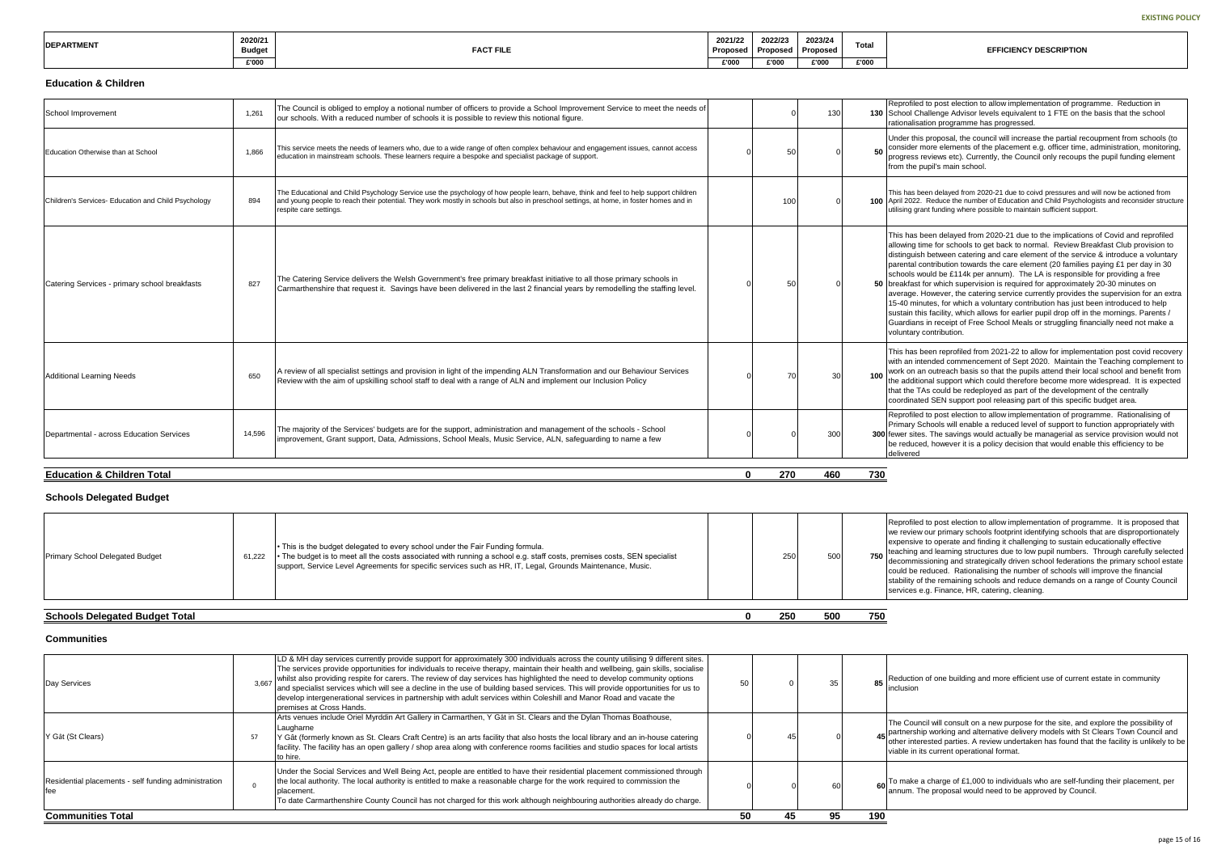ed to post election to allow implementation of programme. Reduction in Challenge Advisor levels equivalent to 1 FTE on the basis that the school sation programme has progressed.

is proposal, the council will increase the partial recoupment from schools (to more elements of the placement e.g. officer time, administration, monitoring, reviews etc). Currently, the Council only recoups the pupil funding element pupil's main school.

been delayed from 2020-21 due to coivd pressures and will now be actioned from . Reduce the number of Education and Child Psychologists and reconsider structure rant funding where possible to maintain sufficient support.

been delayed from 2020-21 due to the implications of Covid and reprofiled time for schools to get back to normal. Review Breakfast Club provision to sh between catering and care element of the service  $\&$  introduce a voluntary contribution towards the care element (20 families paying £1 per day in 30 would be £114k per annum). The LA is responsible for providing a free t for which supervision is required for approximately 20-30 minutes on . However, the catering service currently provides the supervision for an extra inutes, for which a voluntary contribution has just been introduced to help this facility, which allows for earlier pupil drop off in the mornings. Parents  $/$ ns in receipt of Free School Meals or struggling financially need not make a contribution.

tis been reprofiled from 2021-22 to allow for implementation post covid recovery ntended commencement of Sept 2020. Maintain the Teaching complement to an outreach basis so that the pupils attend their local school and benefit from tional support which could therefore become more widespread. It is expected TAs could be redeployed as part of the development of the centrally ted SEN support pool releasing part of this specific budget area.

ed to post election to allow implementation of programme. Rationalising of Schools will enable a reduced level of support to function appropriately with es. The savings would actually be managerial as service provision would not  $e$ ed, however it is a policy decision that would enable this efficiency to be

d to post election to allow implementation of programme. It is proposed that vour primary schools footprint identifying schools that are disproportionately e to operate and finding it challenging to sustain educationally effective and learning structures due to low pupil numbers. Through carefully selected ssioning and strategically driven school federations the primary school estate reduced. Rationalising the number of schools will improve the financial f the remaining schools and reduce demands on a range of County Council e.g. Finance, HR, catering, cleaning.

on of one building and more efficient use of current estate in community

ancil will consult on a new purpose for the site, and explore the possibility of hip working and alternative delivery models with St Clears Town Council and terested parties. A review undertaken has found that the facility is unlikely to be its current operational format.

<sup>2</sup> a charge of £1,000 to individuals who are self-funding their placement, per The proposal would need to be approved by Council.

| <b>DEPARTMENT</b> | 2020/21<br><b>Budget</b> | <b>FACT FILE</b> | 2021/22<br>Proposed | 2022/23<br><b>Proposed</b> | 2023/24<br>Proposed | <b>Tota</b> |
|-------------------|--------------------------|------------------|---------------------|----------------------------|---------------------|-------------|
|                   | £'000                    |                  | £'000               | £'000                      | £'000               | £'000       |

#### **Education & Children**

| <b>Education &amp; Children Total</b>               |        |                                                                                                                                                                                                                                                                                                          | $\bf{0}$ | 270 | 460 | 730 |                                                                                                                                           |
|-----------------------------------------------------|--------|----------------------------------------------------------------------------------------------------------------------------------------------------------------------------------------------------------------------------------------------------------------------------------------------------------|----------|-----|-----|-----|-------------------------------------------------------------------------------------------------------------------------------------------|
| Departmental - across Education Services            | 14.596 | The majority of the Services' budgets are for the support, administration and management of the schools - School<br>improvement, Grant support, Data, Admissions, School Meals, Music Service, ALN, safequarding to name a few                                                                           |          |     | 300 |     | Reprofile<br>Primary S<br>300 fewer site<br>be reduce<br>delivered                                                                        |
| Additional Learning Needs                           | 650    | A review of all specialist settings and provision in light of the impending ALN Transformation and our Behaviour Services<br>Review with the aim of upskilling school staff to deal with a range of ALN and implement our Inclusion Policy                                                               |          | 70  | 30  | 100 | This has<br>with an in<br>work on a<br>the additi<br>that the T<br>coordinat                                                              |
| Catering Services - primary school breakfasts       | 827    | The Catering Service delivers the Welsh Government's free primary breakfast initiative to all those primary schools in<br>Carmarthenshire that request it. Savings have been delivered in the last 2 financial years by remodelling the staffing level.                                                  |          | 50  |     | 50  | This has<br>allowing t<br>distinguis<br>parental<br>schools v<br>breakfast<br>average.<br>15-40 mi<br>sustain th<br>Guardian<br>voluntary |
| Children's Services- Education and Child Psychology | 894    | The Educational and Child Psychology Service use the psychology of how people learn, behave, think and feel to help support children<br>and young people to reach their potential. They work mostly in schools but also in preschool settings, at home, in foster homes and in<br>respite care settings. |          | 100 |     |     | This has b<br>100 April 2022<br>utilising gr                                                                                              |
| Education Otherwise than at School                  | 1,866  | This service meets the needs of learners who, due to a wide range of often complex behaviour and engagement issues, cannot access<br>education in mainstream schools. These learners require a bespoke and specialist package of support.                                                                |          | 50  |     | 50  | Under thi<br>consider<br>progress<br>from the                                                                                             |
| School Improvement                                  | 1,261  | The Council is obliged to employ a notional number of officers to provide a School Improvement Service to meet the needs of<br>our schools. With a reduced number of schools it is possible to review this notional figure.                                                                              |          |     | 130 |     | Reprofile<br>130 School C<br>rationalis                                                                                                   |

#### **Schools Delegated Budget**

| • This is the budget delegated to every school under the Fair Funding formula.<br>250<br>• The budget is to meet all the costs associated with running a school e.g. staff costs, premises costs, SEN specialist<br>500<br><b>Primary School Delegated Budget</b><br>61.222<br>support, Service Level Agreements for specific services such as HR, IT, Legal, Grounds Maintenance, Music. | Reprofiled<br>we review<br>expensive<br>teaching a<br>750<br>decommis<br>could be a<br>stability of<br>services of |  |  |  |  |
|-------------------------------------------------------------------------------------------------------------------------------------------------------------------------------------------------------------------------------------------------------------------------------------------------------------------------------------------------------------------------------------------|--------------------------------------------------------------------------------------------------------------------|--|--|--|--|
|-------------------------------------------------------------------------------------------------------------------------------------------------------------------------------------------------------------------------------------------------------------------------------------------------------------------------------------------------------------------------------------------|--------------------------------------------------------------------------------------------------------------------|--|--|--|--|

## **Schools Delegated Budget Total 0 250 500 750**

#### **Communities**

| <b>Communities Total</b>                             |    |                                                                                                                                                                                                                                                                                                                                                                                                                                                                                                                                                                                                                                                                                                    | 50 | 45 | 95 | 190 |                                                     |
|------------------------------------------------------|----|----------------------------------------------------------------------------------------------------------------------------------------------------------------------------------------------------------------------------------------------------------------------------------------------------------------------------------------------------------------------------------------------------------------------------------------------------------------------------------------------------------------------------------------------------------------------------------------------------------------------------------------------------------------------------------------------------|----|----|----|-----|-----------------------------------------------------|
| Residential placements - self funding administration |    | Under the Social Services and Well Being Act, people are entitled to have their residential placement commissioned through<br>the local authority. The local authority is entitled to make a reasonable charge for the work required to commission the<br>placement.<br>To date Carmarthenshire County Council has not charged for this work although neighbouring authorities already do charge.                                                                                                                                                                                                                                                                                                  |    |    | 60 |     | To make<br>annum. T                                 |
| Y Gât (St Clears)                                    | 57 | Arts venues include Oriel Myrddin Art Gallery in Carmarthen, Y Gât in St. Clears and the Dylan Thomas Boathouse,<br>Laugharne<br>Y Gât (formerly known as St. Clears Craft Centre) is an arts facility that also hosts the local library and an in-house catering<br>facility. The facility has an open gallery / shop area along with conference rooms facilities and studio spaces for local artists<br>to hire.                                                                                                                                                                                                                                                                                 |    |    |    |     | The Cour<br>45 partnersh<br>other inte<br>viable in |
| Day Services                                         |    | LD & MH day services currently provide support for approximately 300 individuals across the county utilising 9 different sites.<br>The services provide opportunities for individuals to receive therapy, maintain their health and wellbeing, gain skills, socialise<br>3,667 whilst also providing respite for carers. The review of day services has highlighted the need to develop community options<br>and specialist services which will see a decline in the use of building based services. This will provide opportunities for us to<br>develop intergenerational services in partnership with adult services within Coleshill and Manor Road and vacate the<br>premises at Cross Hands. | 50 |    | 35 | 85  | Reduction<br>inclusion                              |